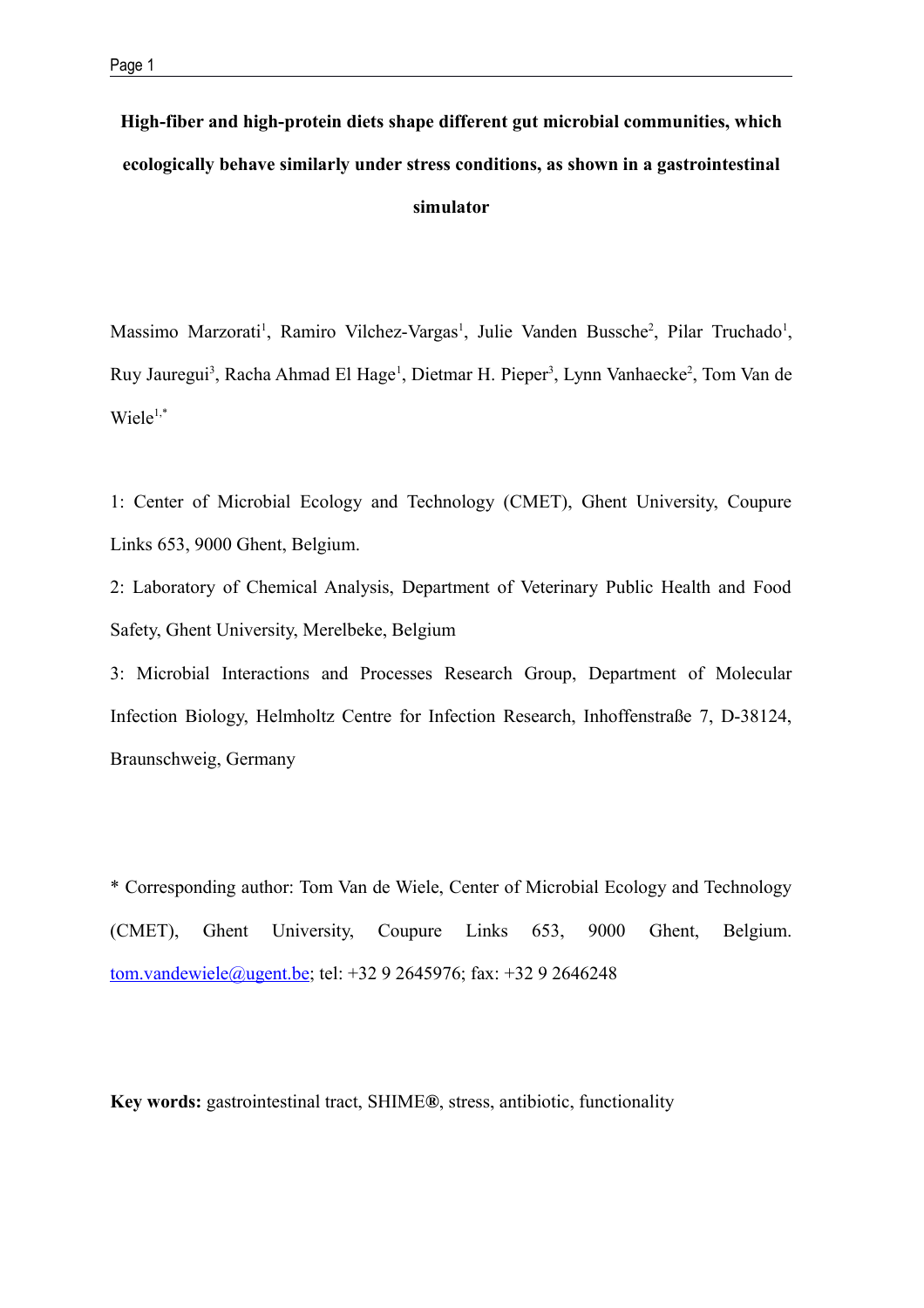**High-fiber and high-protein diets shape different gut microbial communities, which ecologically behave similarly under stress conditions, as shown in a gastrointestinal simulator**

Massimo Marzorati<sup>1</sup>, Ramiro Vilchez-Vargas<sup>1</sup>, Julie Vanden Bussche<sup>2</sup>, Pilar Truchado<sup>1</sup>, Ruy Jauregui<sup>3</sup>, Racha Ahmad El Hage<sup>1</sup>, Dietmar H. Pieper<sup>3</sup>, Lynn Vanhaecke<sup>2</sup>, Tom Van de  $Wiele^{1,*}$ 

1: Center of Microbial Ecology and Technology (CMET), Ghent University, Coupure Links 653, 9000 Ghent, Belgium.

2: Laboratory of Chemical Analysis, Department of Veterinary Public Health and Food Safety, Ghent University, Merelbeke, Belgium

3: Microbial Interactions and Processes Research Group, Department of Molecular Infection Biology, Helmholtz Centre for Infection Research, Inhoffenstraße 7, D-38124, Braunschweig, Germany

\* Corresponding author: Tom Van de Wiele, Center of Microbial Ecology and Technology (CMET), Ghent University, Coupure Links 653, 9000 Ghent, Belgium. [tom.vandewiele@ugent.be;](mailto:tom.vandewiele@ugent.be) tel: +32 9 2645976; fax: +32 9 2646248

**Key words:** gastrointestinal tract, SHIME**®**, stress, antibiotic, functionality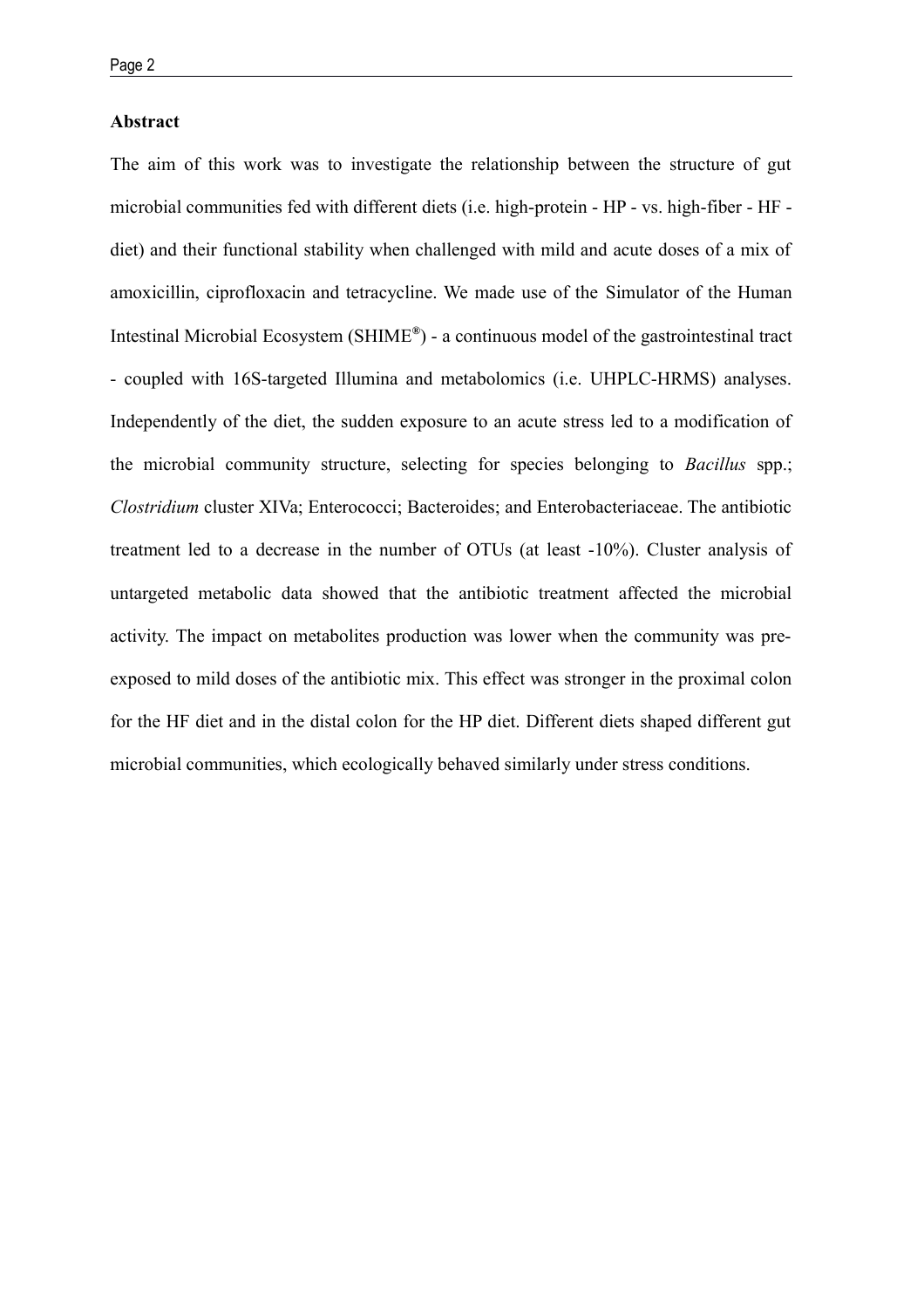#### **Abstract**

The aim of this work was to investigate the relationship between the structure of gut microbial communities fed with different diets (i.e. high-protein - HP - vs. high-fiber - HF diet) and their functional stability when challenged with mild and acute doses of a mix of amoxicillin, ciprofloxacin and tetracycline. We made use of the Simulator of the Human Intestinal Microbial Ecosystem (SHIME**®** ) - a continuous model of the gastrointestinal tract - coupled with 16S-targeted Illumina and metabolomics (i.e. UHPLC-HRMS) analyses. Independently of the diet, the sudden exposure to an acute stress led to a modification of the microbial community structure, selecting for species belonging to *Bacillus* spp.; *Clostridium* cluster XIVa; Enterococci; Bacteroides; and Enterobacteriaceae. The antibiotic treatment led to a decrease in the number of OTUs (at least -10%). Cluster analysis of untargeted metabolic data showed that the antibiotic treatment affected the microbial activity. The impact on metabolites production was lower when the community was preexposed to mild doses of the antibiotic mix. This effect was stronger in the proximal colon for the HF diet and in the distal colon for the HP diet. Different diets shaped different gut microbial communities, which ecologically behaved similarly under stress conditions.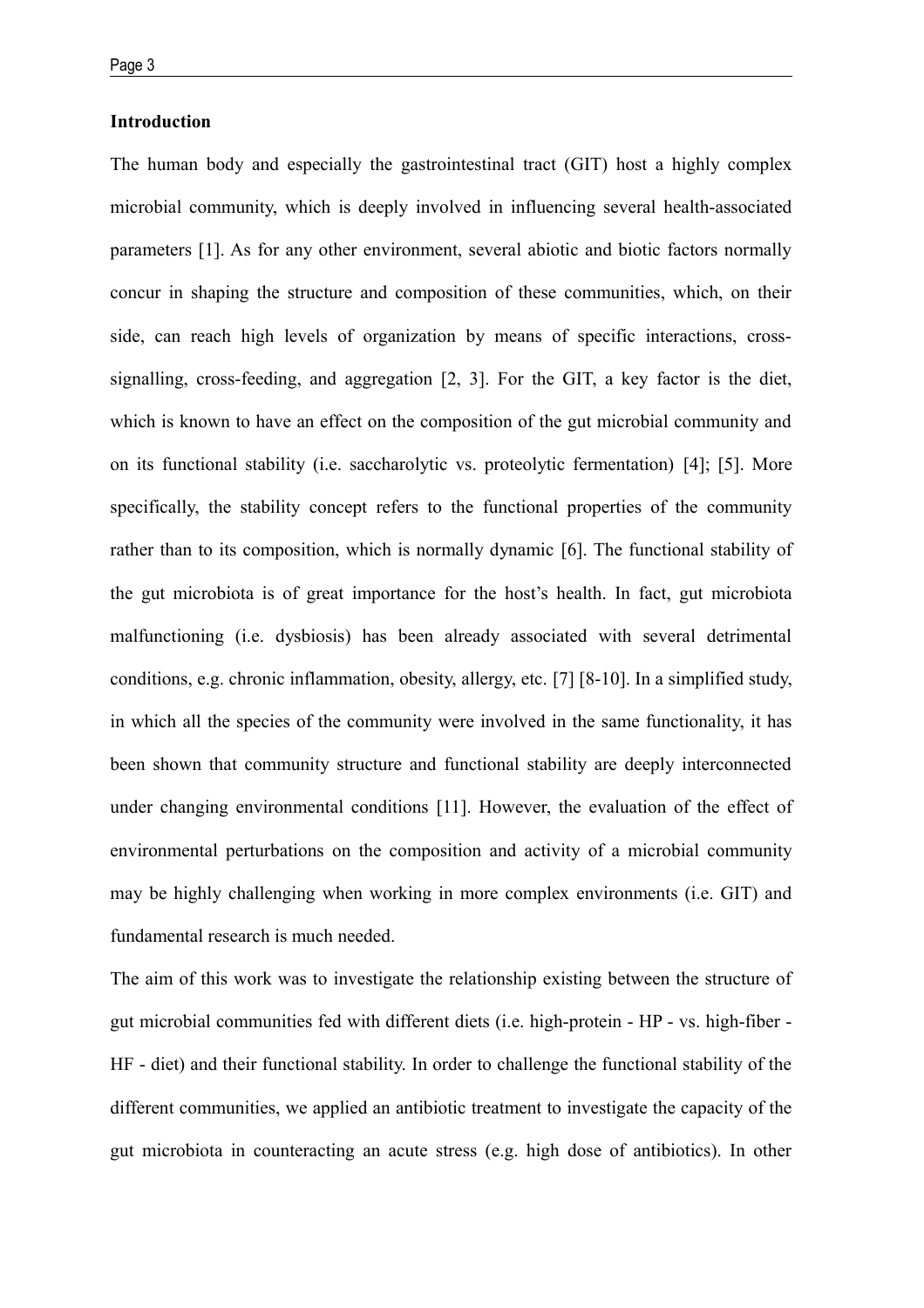# **Introduction**

The human body and especially the gastrointestinal tract (GIT) host a highly complex microbial community, which is deeply involved in influencing several health-associated parameters [1]. As for any other environment, several abiotic and biotic factors normally concur in shaping the structure and composition of these communities, which, on their side, can reach high levels of organization by means of specific interactions, crosssignalling, cross-feeding, and aggregation [2, 3]. For the GIT, a key factor is the diet, which is known to have an effect on the composition of the gut microbial community and on its functional stability (i.e. saccharolytic vs. proteolytic fermentation) [4]; [5]. More specifically, the stability concept refers to the functional properties of the community rather than to its composition, which is normally dynamic [6]. The functional stability of the gut microbiota is of great importance for the host's health. In fact, gut microbiota malfunctioning (i.e. dysbiosis) has been already associated with several detrimental conditions, e.g. chronic inflammation, obesity, allergy, etc. [7] [8-10]. In a simplified study, in which all the species of the community were involved in the same functionality, it has been shown that community structure and functional stability are deeply interconnected under changing environmental conditions [11]. However, the evaluation of the effect of environmental perturbations on the composition and activity of a microbial community may be highly challenging when working in more complex environments (i.e. GIT) and fundamental research is much needed.

The aim of this work was to investigate the relationship existing between the structure of gut microbial communities fed with different diets (i.e. high-protein - HP - vs. high-fiber - HF - diet) and their functional stability. In order to challenge the functional stability of the different communities, we applied an antibiotic treatment to investigate the capacity of the gut microbiota in counteracting an acute stress (e.g. high dose of antibiotics). In other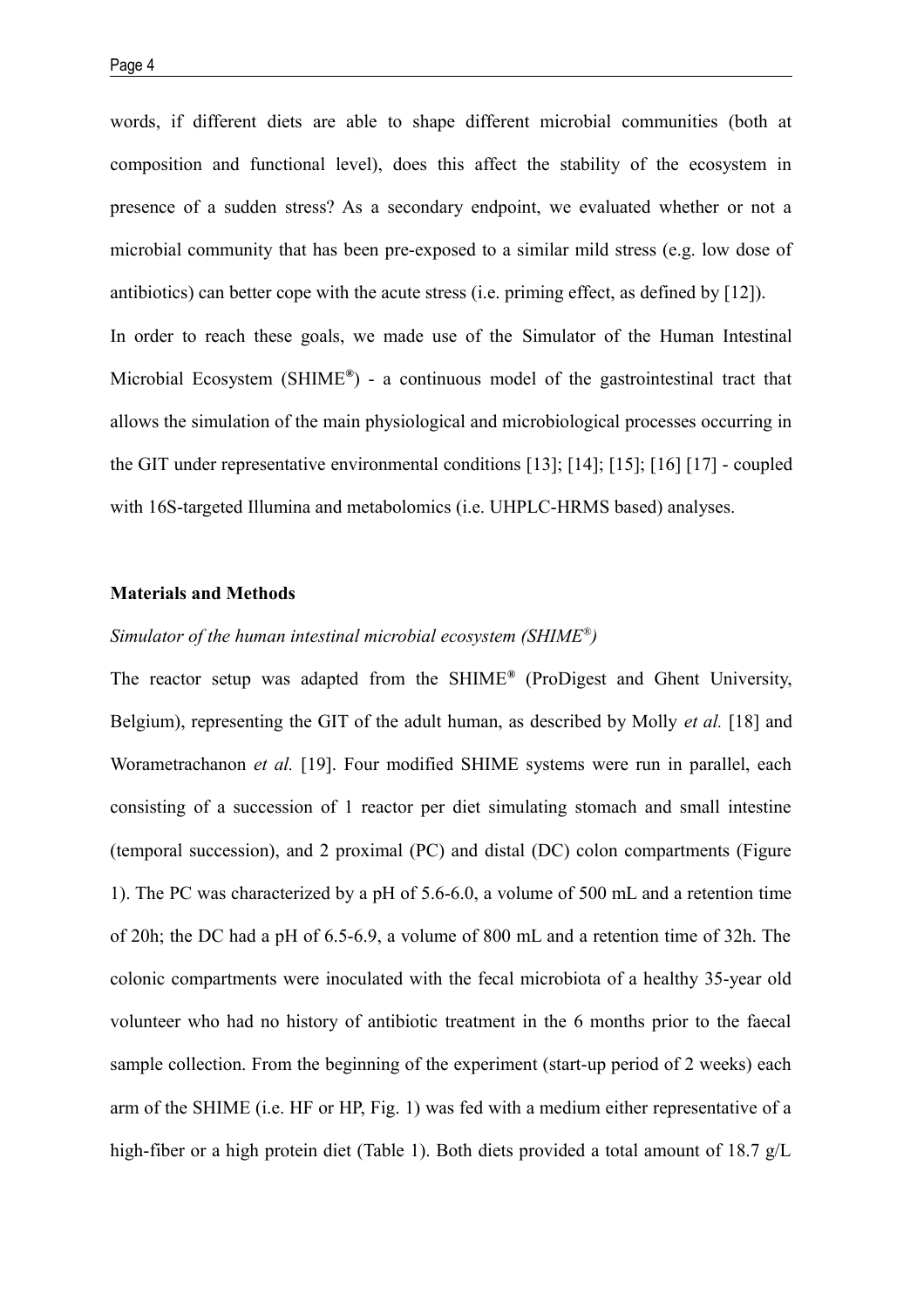words, if different diets are able to shape different microbial communities (both at composition and functional level), does this affect the stability of the ecosystem in presence of a sudden stress? As a secondary endpoint, we evaluated whether or not a microbial community that has been pre-exposed to a similar mild stress (e.g. low dose of antibiotics) can better cope with the acute stress (i.e. priming effect, as defined by [12]). In order to reach these goals, we made use of the Simulator of the Human Intestinal Microbial Ecosystem (SHIME**®** ) - a continuous model of the gastrointestinal tract that allows the simulation of the main physiological and microbiological processes occurring in the GIT under representative environmental conditions [13]; [14]; [15]; [16] [17] - coupled with 16S-targeted Illumina and metabolomics (i.e. UHPLC-HRMS based) analyses.

#### **Materials and Methods**

# *Simulator of the human intestinal microbial ecosystem (SHIME® )*

The reactor setup was adapted from the SHIME**®** (ProDigest and Ghent University, Belgium), representing the GIT of the adult human, as described by Molly *et al.* [18] and Worametrachanon *et al.* [19]. Four modified SHIME systems were run in parallel, each consisting of a succession of 1 reactor per diet simulating stomach and small intestine (temporal succession), and 2 proximal (PC) and distal (DC) colon compartments (Figure 1). The PC was characterized by a pH of 5.6-6.0, a volume of 500 mL and a retention time of 20h; the DC had a pH of 6.5-6.9, a volume of 800 mL and a retention time of 32h. The colonic compartments were inoculated with the fecal microbiota of a healthy 35-year old volunteer who had no history of antibiotic treatment in the 6 months prior to the faecal sample collection. From the beginning of the experiment (start-up period of 2 weeks) each arm of the SHIME (i.e. HF or HP, Fig. 1) was fed with a medium either representative of a high-fiber or a high protein diet (Table 1). Both diets provided a total amount of 18.7 g/L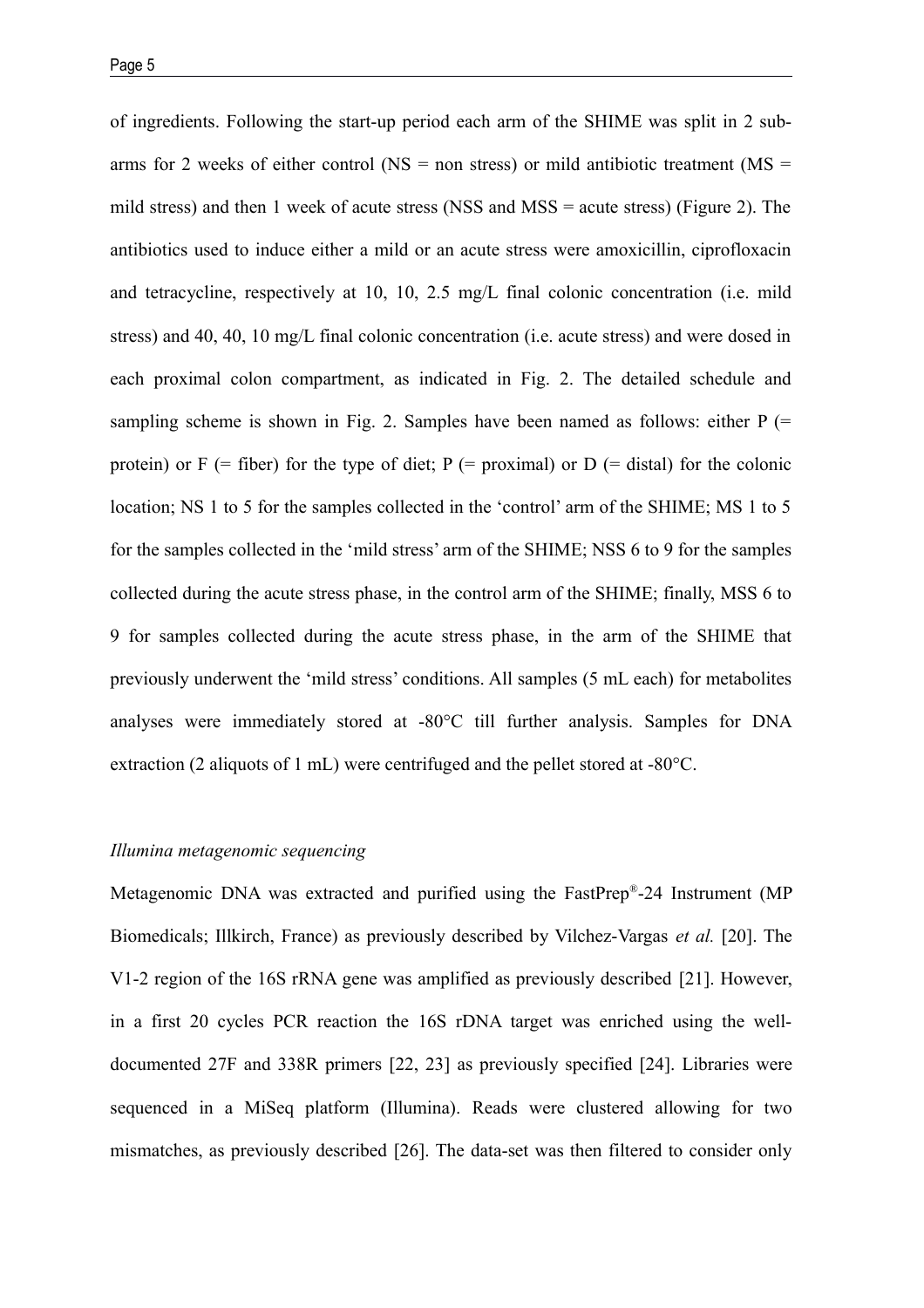of ingredients. Following the start-up period each arm of the SHIME was split in 2 subarms for 2 weeks of either control ( $\text{NS} = \text{non stress}$ ) or mild antibiotic treatment ( $\text{MS} =$ mild stress) and then 1 week of acute stress (NSS and MSS = acute stress) (Figure 2). The antibiotics used to induce either a mild or an acute stress were amoxicillin, ciprofloxacin and tetracycline, respectively at 10, 10, 2.5 mg/L final colonic concentration (i.e. mild stress) and 40, 40, 10 mg/L final colonic concentration (i.e. acute stress) and were dosed in each proximal colon compartment, as indicated in Fig. 2. The detailed schedule and sampling scheme is shown in Fig. 2. Samples have been named as follows: either  $P$  (= protein) or  $F$  (= fiber) for the type of diet;  $P$  (= proximal) or  $D$  (= distal) for the colonic location; NS 1 to 5 for the samples collected in the 'control' arm of the SHIME; MS 1 to 5 for the samples collected in the 'mild stress' arm of the SHIME; NSS 6 to 9 for the samples collected during the acute stress phase, in the control arm of the SHIME; finally, MSS 6 to 9 for samples collected during the acute stress phase, in the arm of the SHIME that previously underwent the 'mild stress' conditions. All samples (5 mL each) for metabolites analyses were immediately stored at -80°C till further analysis. Samples for DNA extraction (2 aliquots of 1 mL) were centrifuged and the pellet stored at -80°C.

# *Illumina metagenomic sequencing*

Metagenomic DNA was extracted and purified using the FastPrep®-24 Instrument (MP Biomedicals; Illkirch, France) as previously described by Vilchez-Vargas *et al.* [20]. The V1-2 region of the 16S rRNA gene was amplified as previously described [21]. However, in a first 20 cycles PCR reaction the 16S rDNA target was enriched using the welldocumented 27F and 338R primers [22, 23] as previously specified [24]. Libraries were sequenced in a MiSeq platform (Illumina). Reads were clustered allowing for two mismatches, as previously described [26]. The data-set was then filtered to consider only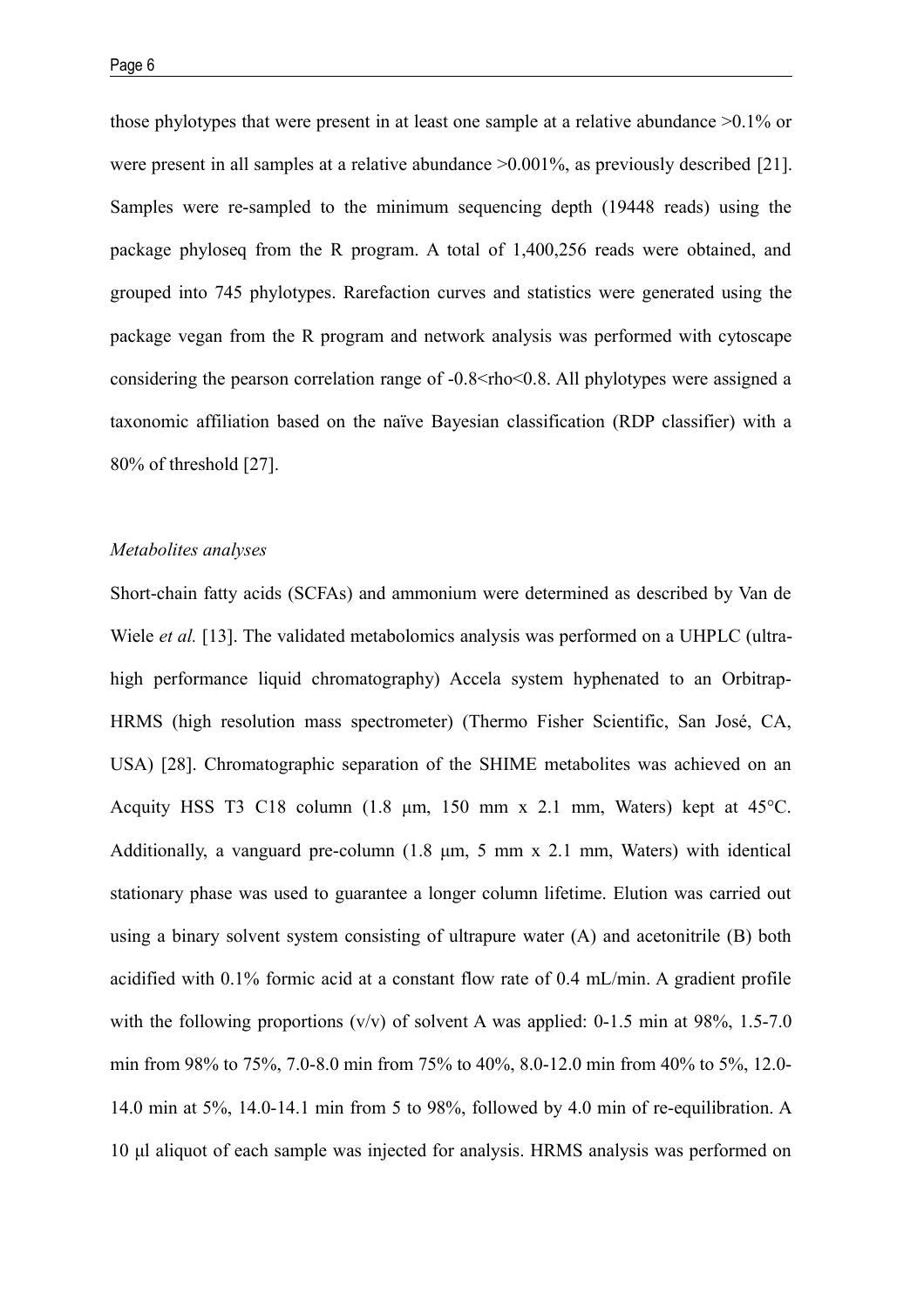those phylotypes that were present in at least one sample at a relative abundance >0.1% or were present in all samples at a relative abundance >0.001%, as previously described [21]. Samples were re-sampled to the minimum sequencing depth (19448 reads) using the package phyloseq from the R program. A total of 1,400,256 reads were obtained, and grouped into 745 phylotypes. Rarefaction curves and statistics were generated using the package vegan from the R program and network analysis was performed with cytoscape considering the pearson correlation range of  $-0.8 <$ rho $< 0.8$ . All phylotypes were assigned a taxonomic affiliation based on the naïve Bayesian classification (RDP classifier) with a 80% of threshold [27].

## *Metabolites analyses*

Short-chain fatty acids (SCFAs) and ammonium were determined as described by Van de Wiele *et al.* [13]. The validated metabolomics analysis was performed on a UHPLC (ultrahigh performance liquid chromatography) Accela system hyphenated to an Orbitrap-HRMS (high resolution mass spectrometer) (Thermo Fisher Scientific, San José, CA, USA) [28]. Chromatographic separation of the SHIME metabolites was achieved on an Acquity HSS T3 C18 column (1.8 μm, 150 mm x 2.1 mm, Waters) kept at 45°C. Additionally, a vanguard pre-column (1.8 μm, 5 mm x 2.1 mm, Waters) with identical stationary phase was used to guarantee a longer column lifetime. Elution was carried out using a binary solvent system consisting of ultrapure water (A) and acetonitrile (B) both acidified with 0.1% formic acid at a constant flow rate of 0.4 mL/min. A gradient profile with the following proportions  $(v/v)$  of solvent A was applied: 0-1.5 min at 98%, 1.5-7.0 min from 98% to 75%, 7.0-8.0 min from 75% to 40%, 8.0-12.0 min from 40% to 5%, 12.0- 14.0 min at 5%, 14.0-14.1 min from 5 to 98%, followed by 4.0 min of re-equilibration. A 10 μl aliquot of each sample was injected for analysis. HRMS analysis was performed on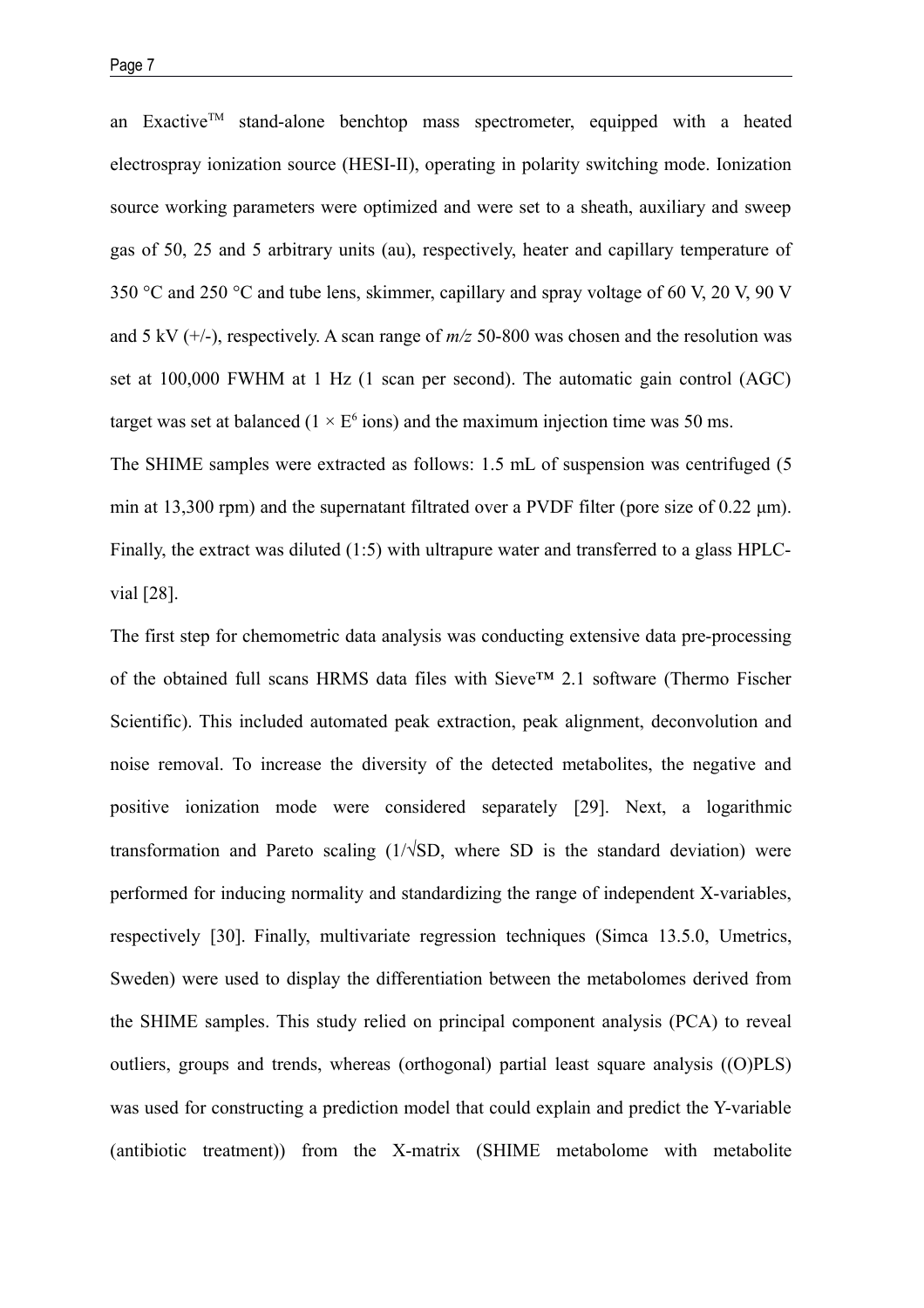an Exactive<sup>TM</sup> stand-alone benchtop mass spectrometer, equipped with a heated electrospray ionization source (HESI-II), operating in polarity switching mode. Ionization source working parameters were optimized and were set to a sheath, auxiliary and sweep gas of 50, 25 and 5 arbitrary units (au), respectively, heater and capillary temperature of 350 °C and 250 °C and tube lens, skimmer, capillary and spray voltage of 60 V, 20 V, 90 V and 5 kV (+/-), respectively. A scan range of *m/z* 50-800 was chosen and the resolution was set at 100,000 FWHM at 1 Hz (1 scan per second). The automatic gain control (AGC) target was set at balanced ( $1 \times E^6$  ions) and the maximum injection time was 50 ms.

The SHIME samples were extracted as follows: 1.5 mL of suspension was centrifuged (5 min at 13,300 rpm) and the supernatant filtrated over a PVDF filter (pore size of 0.22 μm). Finally, the extract was diluted (1:5) with ultrapure water and transferred to a glass HPLCvial [28].

The first step for chemometric data analysis was conducting extensive data pre-processing of the obtained full scans HRMS data files with Sieve™ 2.1 software (Thermo Fischer Scientific). This included automated peak extraction, peak alignment, deconvolution and noise removal. To increase the diversity of the detected metabolites, the negative and positive ionization mode were considered separately [29]. Next, a logarithmic transformation and Pareto scaling  $(1/\sqrt{SD})$ , where SD is the standard deviation) were performed for inducing normality and standardizing the range of independent X-variables, respectively [30]. Finally, multivariate regression techniques (Simca 13.5.0, Umetrics, Sweden) were used to display the differentiation between the metabolomes derived from the SHIME samples. This study relied on principal component analysis (PCA) to reveal outliers, groups and trends, whereas (orthogonal) partial least square analysis ((O)PLS) was used for constructing a prediction model that could explain and predict the Y-variable (antibiotic treatment)) from the X-matrix (SHIME metabolome with metabolite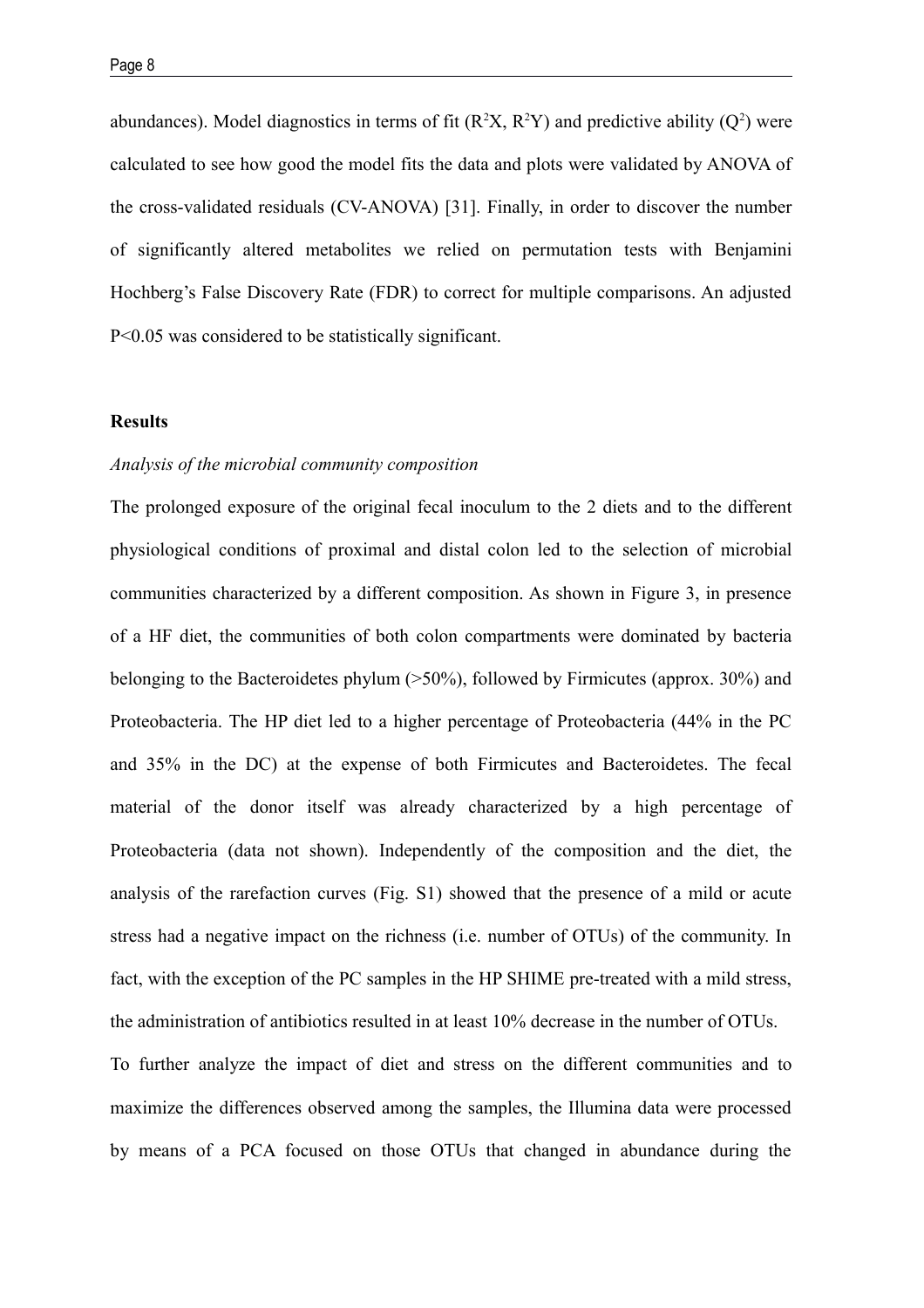abundances). Model diagnostics in terms of fit  $(R<sup>2</sup>X, R<sup>2</sup>Y)$  and predictive ability  $(Q<sup>2</sup>)$  were calculated to see how good the model fits the data and plots were validated by ANOVA of the cross-validated residuals (CV-ANOVA) [31]. Finally, in order to discover the number of significantly altered metabolites we relied on permutation tests with Benjamini Hochberg's False Discovery Rate (FDR) to correct for multiple comparisons. An adjusted P<0.05 was considered to be statistically significant.

#### **Results**

# *Analysis of the microbial community composition*

The prolonged exposure of the original fecal inoculum to the 2 diets and to the different physiological conditions of proximal and distal colon led to the selection of microbial communities characterized by a different composition. As shown in Figure 3, in presence of a HF diet, the communities of both colon compartments were dominated by bacteria belonging to the Bacteroidetes phylum (>50%), followed by Firmicutes (approx. 30%) and Proteobacteria. The HP diet led to a higher percentage of Proteobacteria (44% in the PC and 35% in the DC) at the expense of both Firmicutes and Bacteroidetes. The fecal material of the donor itself was already characterized by a high percentage of Proteobacteria (data not shown). Independently of the composition and the diet, the analysis of the rarefaction curves (Fig. S1) showed that the presence of a mild or acute stress had a negative impact on the richness (i.e. number of OTUs) of the community. In fact, with the exception of the PC samples in the HP SHIME pre-treated with a mild stress, the administration of antibiotics resulted in at least 10% decrease in the number of OTUs. To further analyze the impact of diet and stress on the different communities and to maximize the differences observed among the samples, the Illumina data were processed by means of a PCA focused on those OTUs that changed in abundance during the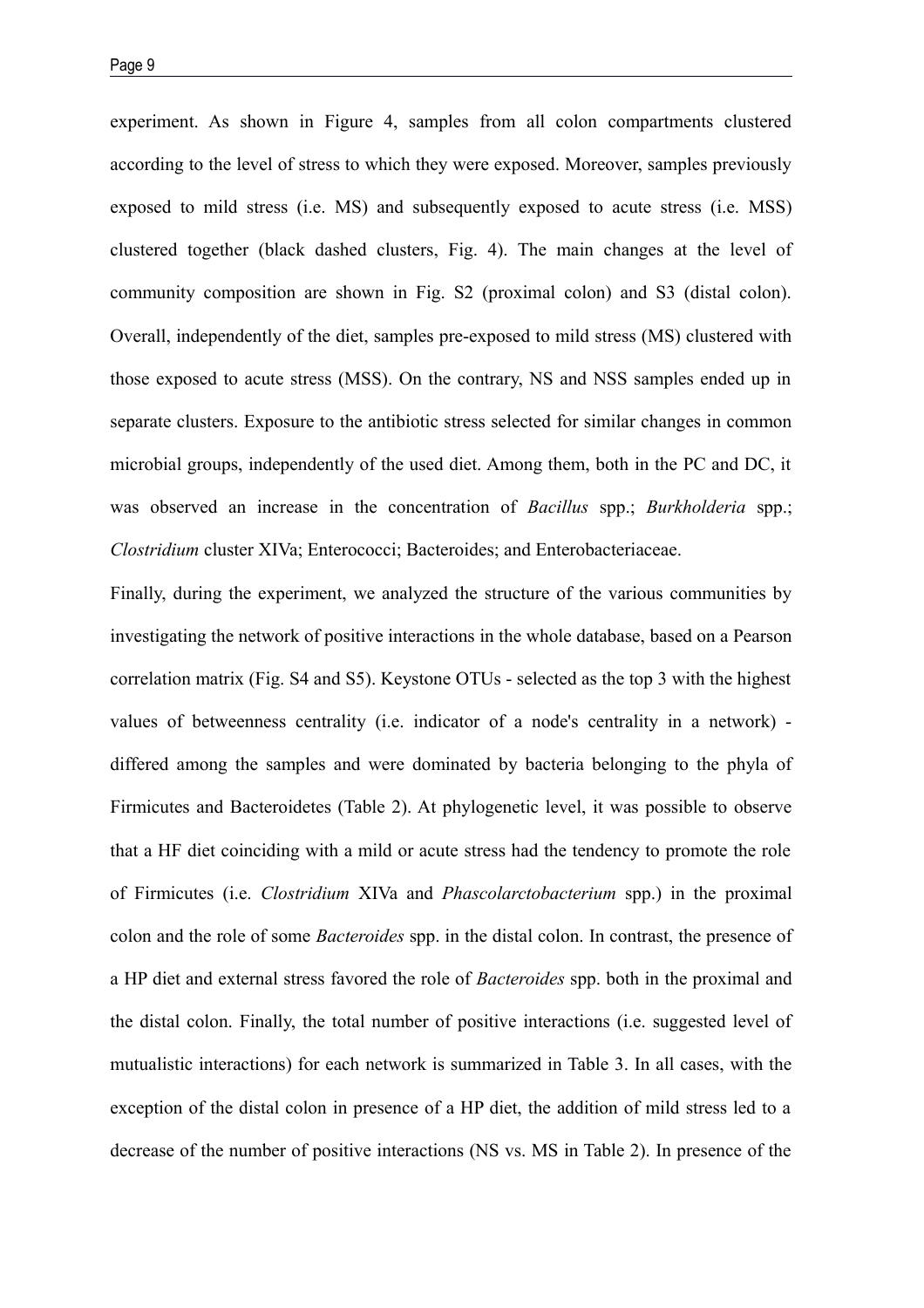experiment. As shown in Figure 4, samples from all colon compartments clustered according to the level of stress to which they were exposed. Moreover, samples previously exposed to mild stress (i.e. MS) and subsequently exposed to acute stress (i.e. MSS) clustered together (black dashed clusters, Fig. 4). The main changes at the level of community composition are shown in Fig. S2 (proximal colon) and S3 (distal colon). Overall, independently of the diet, samples pre-exposed to mild stress (MS) clustered with those exposed to acute stress (MSS). On the contrary, NS and NSS samples ended up in separate clusters. Exposure to the antibiotic stress selected for similar changes in common microbial groups, independently of the used diet. Among them, both in the PC and DC, it was observed an increase in the concentration of *Bacillus* spp.; *Burkholderia* spp.; *Clostridium* cluster XIVa; Enterococci; Bacteroides; and Enterobacteriaceae.

Finally, during the experiment, we analyzed the structure of the various communities by investigating the network of positive interactions in the whole database, based on a Pearson correlation matrix (Fig. S4 and S5). Keystone OTUs - selected as the top 3 with the highest values of betweenness centrality (i.e. indicator of a node's centrality in a network) differed among the samples and were dominated by bacteria belonging to the phyla of Firmicutes and Bacteroidetes (Table 2). At phylogenetic level, it was possible to observe that a HF diet coinciding with a mild or acute stress had the tendency to promote the role of Firmicutes (i.e. *Clostridium* XIVa and *Phascolarctobacterium* spp.) in the proximal colon and the role of some *Bacteroides* spp. in the distal colon. In contrast, the presence of a HP diet and external stress favored the role of *Bacteroides* spp. both in the proximal and the distal colon. Finally, the total number of positive interactions (i.e. suggested level of mutualistic interactions) for each network is summarized in Table 3. In all cases, with the exception of the distal colon in presence of a HP diet, the addition of mild stress led to a decrease of the number of positive interactions (NS vs. MS in Table 2). In presence of the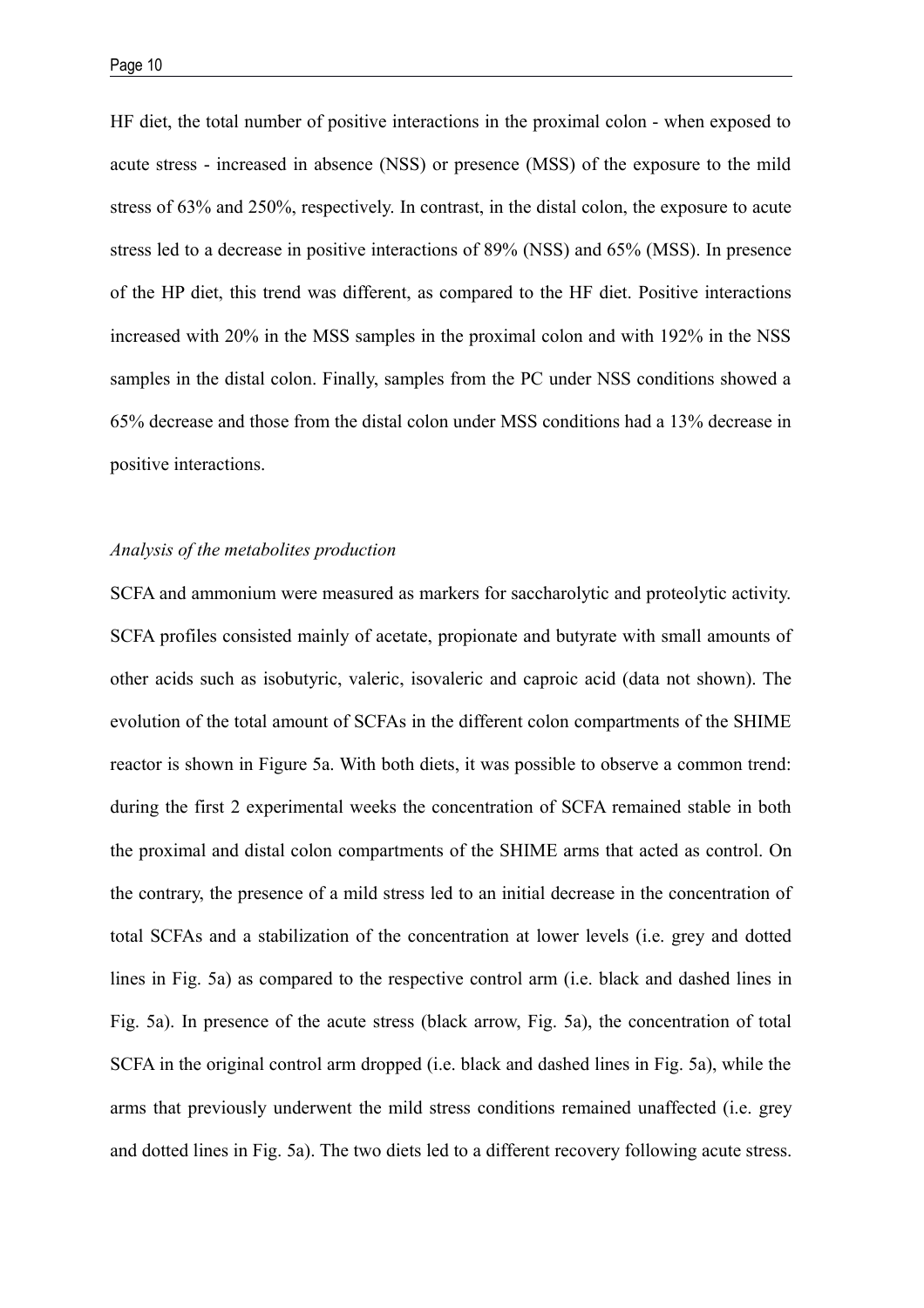HF diet, the total number of positive interactions in the proximal colon - when exposed to acute stress - increased in absence (NSS) or presence (MSS) of the exposure to the mild stress of 63% and 250%, respectively. In contrast, in the distal colon, the exposure to acute stress led to a decrease in positive interactions of 89% (NSS) and 65% (MSS). In presence of the HP diet, this trend was different, as compared to the HF diet. Positive interactions increased with 20% in the MSS samples in the proximal colon and with 192% in the NSS samples in the distal colon. Finally, samples from the PC under NSS conditions showed a 65% decrease and those from the distal colon under MSS conditions had a 13% decrease in positive interactions.

## *Analysis of the metabolites production*

SCFA and ammonium were measured as markers for saccharolytic and proteolytic activity. SCFA profiles consisted mainly of acetate, propionate and butyrate with small amounts of other acids such as isobutyric, valeric, isovaleric and caproic acid (data not shown). The evolution of the total amount of SCFAs in the different colon compartments of the SHIME reactor is shown in Figure 5a. With both diets, it was possible to observe a common trend: during the first 2 experimental weeks the concentration of SCFA remained stable in both the proximal and distal colon compartments of the SHIME arms that acted as control. On the contrary, the presence of a mild stress led to an initial decrease in the concentration of total SCFAs and a stabilization of the concentration at lower levels (i.e. grey and dotted lines in Fig. 5a) as compared to the respective control arm (i.e. black and dashed lines in Fig. 5a). In presence of the acute stress (black arrow, Fig. 5a), the concentration of total SCFA in the original control arm dropped (i.e. black and dashed lines in Fig. 5a), while the arms that previously underwent the mild stress conditions remained unaffected (i.e. grey and dotted lines in Fig. 5a). The two diets led to a different recovery following acute stress.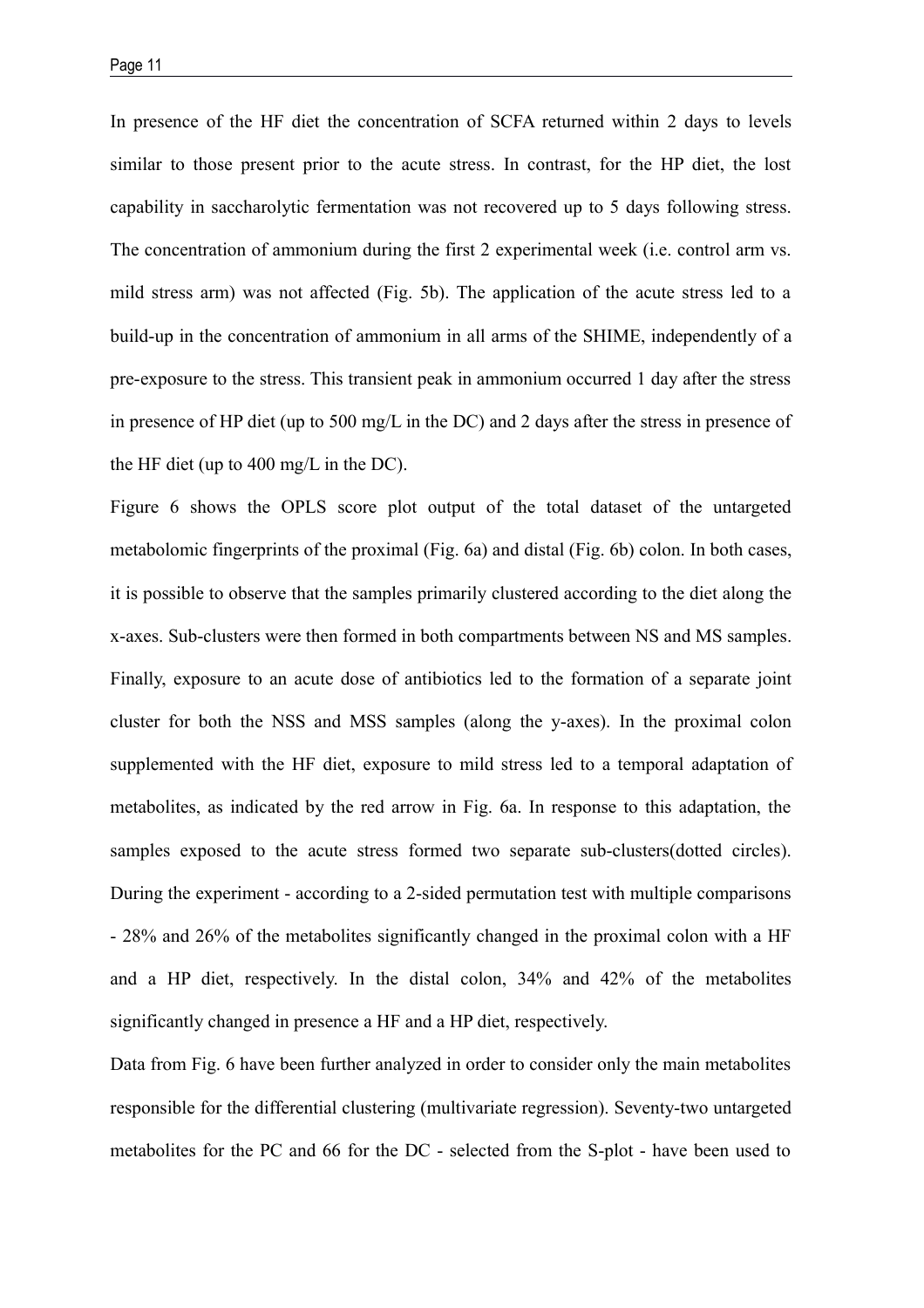In presence of the HF diet the concentration of SCFA returned within 2 days to levels similar to those present prior to the acute stress. In contrast, for the HP diet, the lost capability in saccharolytic fermentation was not recovered up to 5 days following stress. The concentration of ammonium during the first 2 experimental week (i.e. control arm vs. mild stress arm) was not affected (Fig. 5b). The application of the acute stress led to a build-up in the concentration of ammonium in all arms of the SHIME, independently of a pre-exposure to the stress. This transient peak in ammonium occurred 1 day after the stress in presence of HP diet (up to 500 mg/L in the DC) and 2 days after the stress in presence of the HF diet (up to 400 mg/L in the DC).

Figure 6 shows the OPLS score plot output of the total dataset of the untargeted metabolomic fingerprints of the proximal (Fig. 6a) and distal (Fig. 6b) colon. In both cases, it is possible to observe that the samples primarily clustered according to the diet along the x-axes. Sub-clusters were then formed in both compartments between NS and MS samples. Finally, exposure to an acute dose of antibiotics led to the formation of a separate joint cluster for both the NSS and MSS samples (along the y-axes). In the proximal colon supplemented with the HF diet, exposure to mild stress led to a temporal adaptation of metabolites, as indicated by the red arrow in Fig. 6a. In response to this adaptation, the samples exposed to the acute stress formed two separate sub-clusters(dotted circles). During the experiment - according to a 2-sided permutation test with multiple comparisons - 28% and 26% of the metabolites significantly changed in the proximal colon with a HF and a HP diet, respectively. In the distal colon, 34% and 42% of the metabolites significantly changed in presence a HF and a HP diet, respectively.

Data from Fig. 6 have been further analyzed in order to consider only the main metabolites responsible for the differential clustering (multivariate regression). Seventy-two untargeted metabolites for the PC and 66 for the DC - selected from the S-plot - have been used to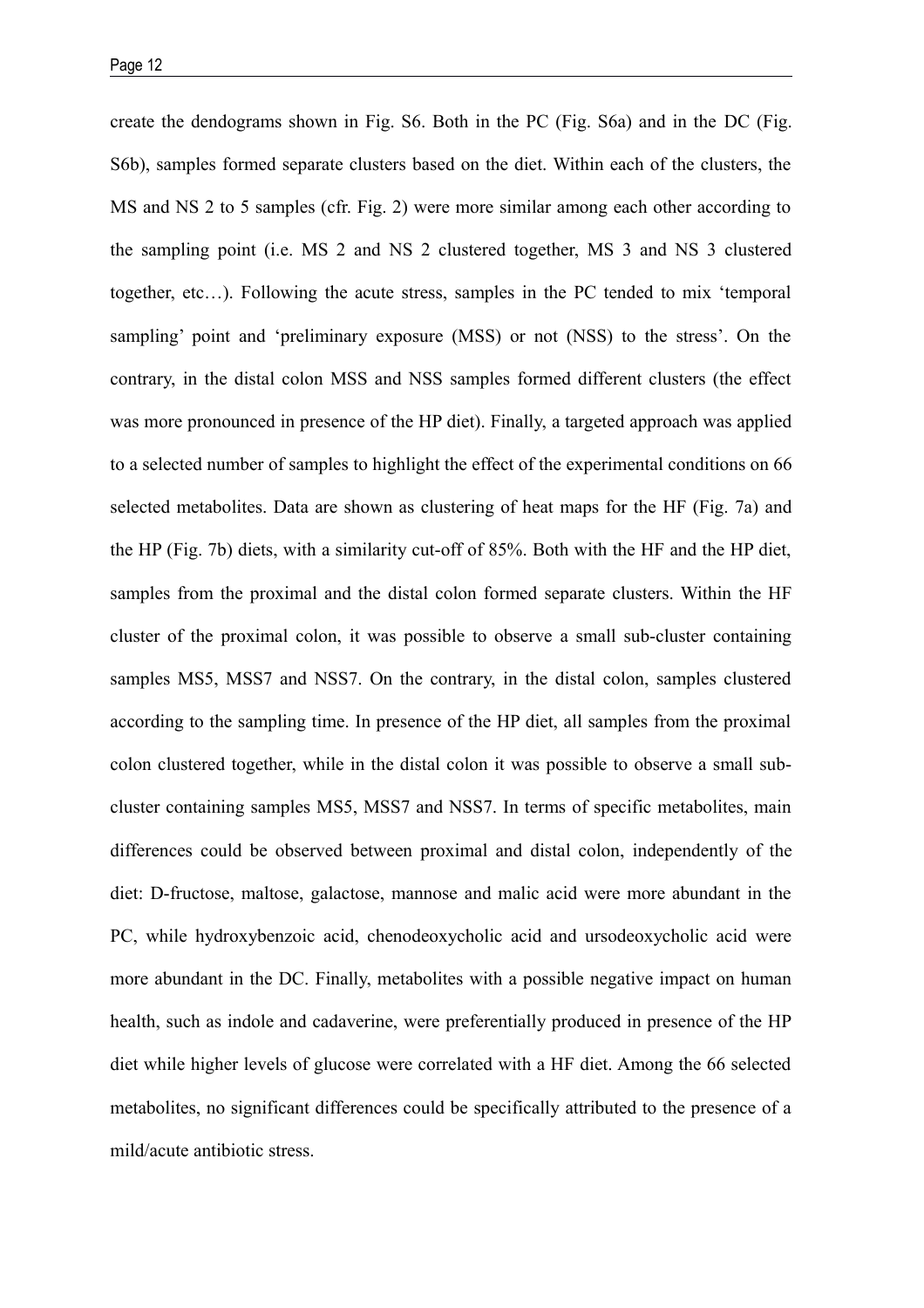create the dendograms shown in Fig. S6. Both in the PC (Fig. S6a) and in the DC (Fig. S6b), samples formed separate clusters based on the diet. Within each of the clusters, the MS and NS 2 to 5 samples (cfr. Fig. 2) were more similar among each other according to the sampling point (i.e. MS 2 and NS 2 clustered together, MS 3 and NS 3 clustered together, etc…). Following the acute stress, samples in the PC tended to mix 'temporal sampling' point and 'preliminary exposure (MSS) or not (NSS) to the stress'. On the contrary, in the distal colon MSS and NSS samples formed different clusters (the effect was more pronounced in presence of the HP diet). Finally, a targeted approach was applied to a selected number of samples to highlight the effect of the experimental conditions on 66 selected metabolites. Data are shown as clustering of heat maps for the HF (Fig. 7a) and the HP (Fig. 7b) diets, with a similarity cut-off of 85%. Both with the HF and the HP diet, samples from the proximal and the distal colon formed separate clusters. Within the HF cluster of the proximal colon, it was possible to observe a small sub-cluster containing samples MS5, MSS7 and NSS7. On the contrary, in the distal colon, samples clustered according to the sampling time. In presence of the HP diet, all samples from the proximal colon clustered together, while in the distal colon it was possible to observe a small subcluster containing samples MS5, MSS7 and NSS7. In terms of specific metabolites, main differences could be observed between proximal and distal colon, independently of the diet: D-fructose, maltose, galactose, mannose and malic acid were more abundant in the PC, while hydroxybenzoic acid, chenodeoxycholic acid and ursodeoxycholic acid were more abundant in the DC. Finally, metabolites with a possible negative impact on human health, such as indole and cadaverine, were preferentially produced in presence of the HP diet while higher levels of glucose were correlated with a HF diet. Among the 66 selected metabolites, no significant differences could be specifically attributed to the presence of a mild/acute antibiotic stress.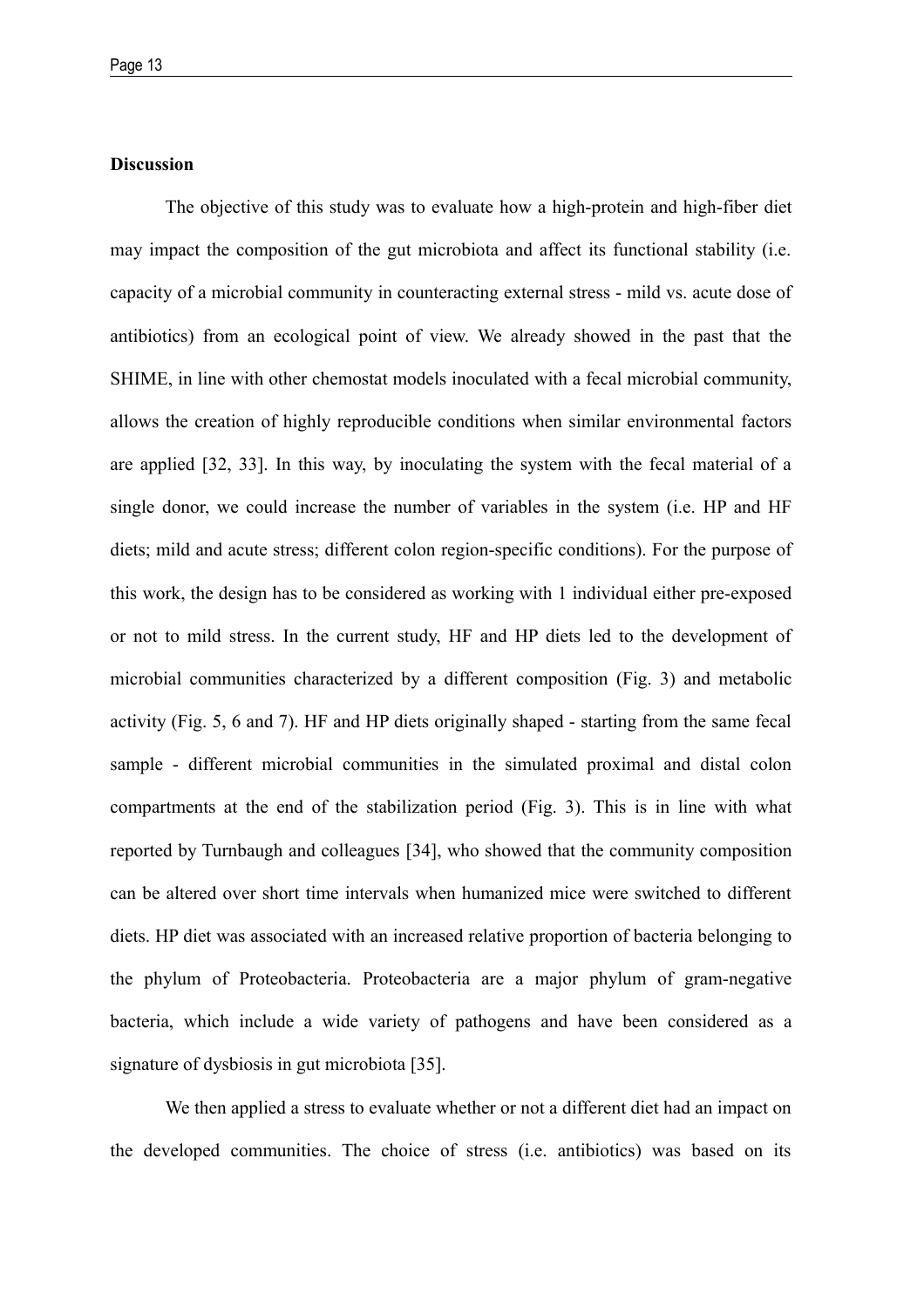# **Discussion**

The objective of this study was to evaluate how a high-protein and high-fiber diet may impact the composition of the gut microbiota and affect its functional stability (i.e. capacity of a microbial community in counteracting external stress - mild vs. acute dose of antibiotics) from an ecological point of view. We already showed in the past that the SHIME, in line with other chemostat models inoculated with a fecal microbial community, allows the creation of highly reproducible conditions when similar environmental factors are applied [32, 33]. In this way, by inoculating the system with the fecal material of a single donor, we could increase the number of variables in the system (i.e. HP and HF diets; mild and acute stress; different colon region-specific conditions). For the purpose of this work, the design has to be considered as working with 1 individual either pre-exposed or not to mild stress. In the current study, HF and HP diets led to the development of microbial communities characterized by a different composition (Fig. 3) and metabolic activity (Fig. 5, 6 and 7). HF and HP diets originally shaped - starting from the same fecal sample - different microbial communities in the simulated proximal and distal colon compartments at the end of the stabilization period (Fig. 3). This is in line with what reported by Turnbaugh and colleagues [34], who showed that the community composition can be altered over short time intervals when humanized mice were switched to different diets. HP diet was associated with an increased relative proportion of bacteria belonging to the phylum of Proteobacteria. Proteobacteria are a major phylum of gram-negative bacteria, which include a wide variety of pathogens and have been considered as a signature of dysbiosis in gut microbiota [35].

We then applied a stress to evaluate whether or not a different diet had an impact on the developed communities. The choice of stress (i.e. antibiotics) was based on its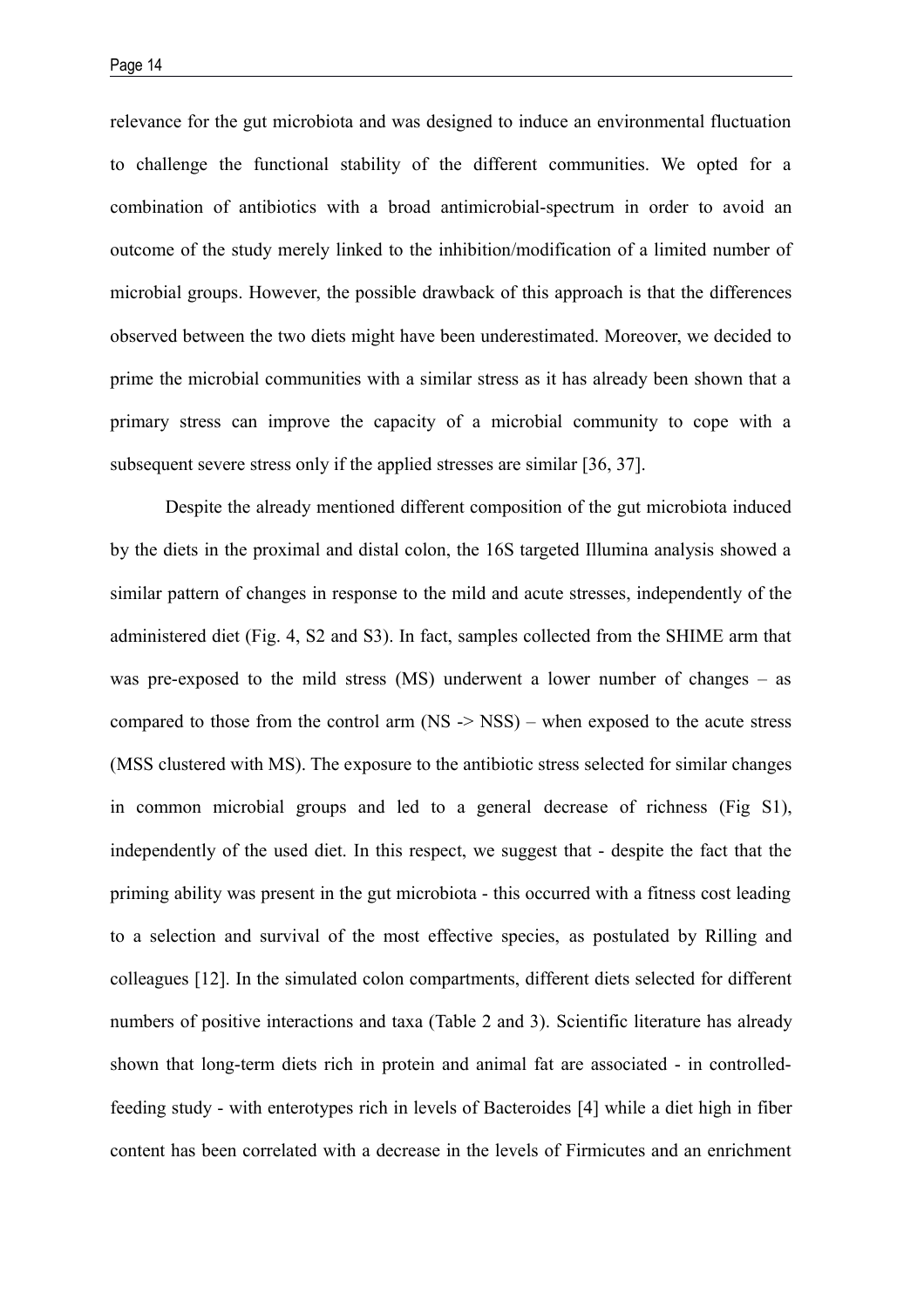relevance for the gut microbiota and was designed to induce an environmental fluctuation to challenge the functional stability of the different communities. We opted for a combination of antibiotics with a broad antimicrobial-spectrum in order to avoid an outcome of the study merely linked to the inhibition/modification of a limited number of microbial groups. However, the possible drawback of this approach is that the differences observed between the two diets might have been underestimated. Moreover, we decided to prime the microbial communities with a similar stress as it has already been shown that a primary stress can improve the capacity of a microbial community to cope with a subsequent severe stress only if the applied stresses are similar [36, 37].

Despite the already mentioned different composition of the gut microbiota induced by the diets in the proximal and distal colon, the 16S targeted Illumina analysis showed a similar pattern of changes in response to the mild and acute stresses, independently of the administered diet (Fig. 4, S2 and S3). In fact, samples collected from the SHIME arm that was pre-exposed to the mild stress (MS) underwent a lower number of changes – as compared to those from the control arm (NS -> NSS) – when exposed to the acute stress (MSS clustered with MS). The exposure to the antibiotic stress selected for similar changes in common microbial groups and led to a general decrease of richness (Fig S1), independently of the used diet. In this respect, we suggest that - despite the fact that the priming ability was present in the gut microbiota - this occurred with a fitness cost leading to a selection and survival of the most effective species, as postulated by Rilling and colleagues [12]. In the simulated colon compartments, different diets selected for different numbers of positive interactions and taxa (Table 2 and 3). Scientific literature has already shown that long-term diets rich in protein and animal fat are associated - in controlledfeeding study - with enterotypes rich in levels of Bacteroides [4] while a diet high in fiber content has been correlated with a decrease in the levels of Firmicutes and an enrichment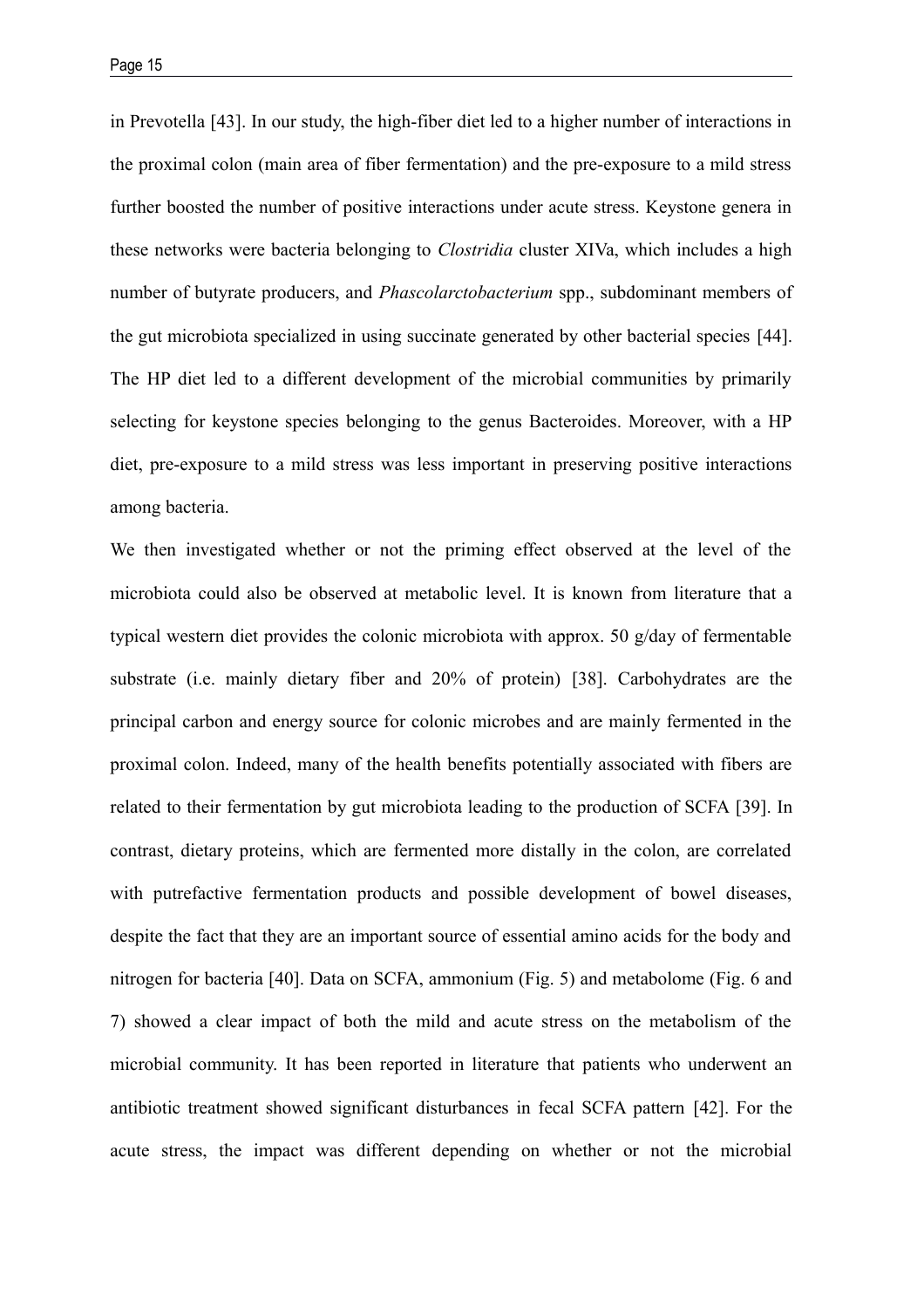in Prevotella [43]. In our study, the high-fiber diet led to a higher number of interactions in the proximal colon (main area of fiber fermentation) and the pre-exposure to a mild stress further boosted the number of positive interactions under acute stress. Keystone genera in these networks were bacteria belonging to *Clostridia* cluster XIVa, which includes a high number of butyrate producers, and *Phascolarctobacterium* spp., subdominant members of the gut microbiota specialized in using succinate generated by other bacterial species [44]. The HP diet led to a different development of the microbial communities by primarily selecting for keystone species belonging to the genus Bacteroides. Moreover, with a HP diet, pre-exposure to a mild stress was less important in preserving positive interactions among bacteria.

We then investigated whether or not the priming effect observed at the level of the microbiota could also be observed at metabolic level. It is known from literature that a typical western diet provides the colonic microbiota with approx. 50 g/day of fermentable substrate (i.e. mainly dietary fiber and 20% of protein) [38]. Carbohydrates are the principal carbon and energy source for colonic microbes and are mainly fermented in the proximal colon. Indeed, many of the health benefits potentially associated with fibers are related to their fermentation by gut microbiota leading to the production of SCFA [39]. In contrast, dietary proteins, which are fermented more distally in the colon, are correlated with putrefactive fermentation products and possible development of bowel diseases, despite the fact that they are an important source of essential amino acids for the body and nitrogen for bacteria [40]. Data on SCFA, ammonium (Fig. 5) and metabolome (Fig. 6 and 7) showed a clear impact of both the mild and acute stress on the metabolism of the microbial community. It has been reported in literature that patients who underwent an antibiotic treatment showed significant disturbances in fecal SCFA pattern [42]. For the acute stress, the impact was different depending on whether or not the microbial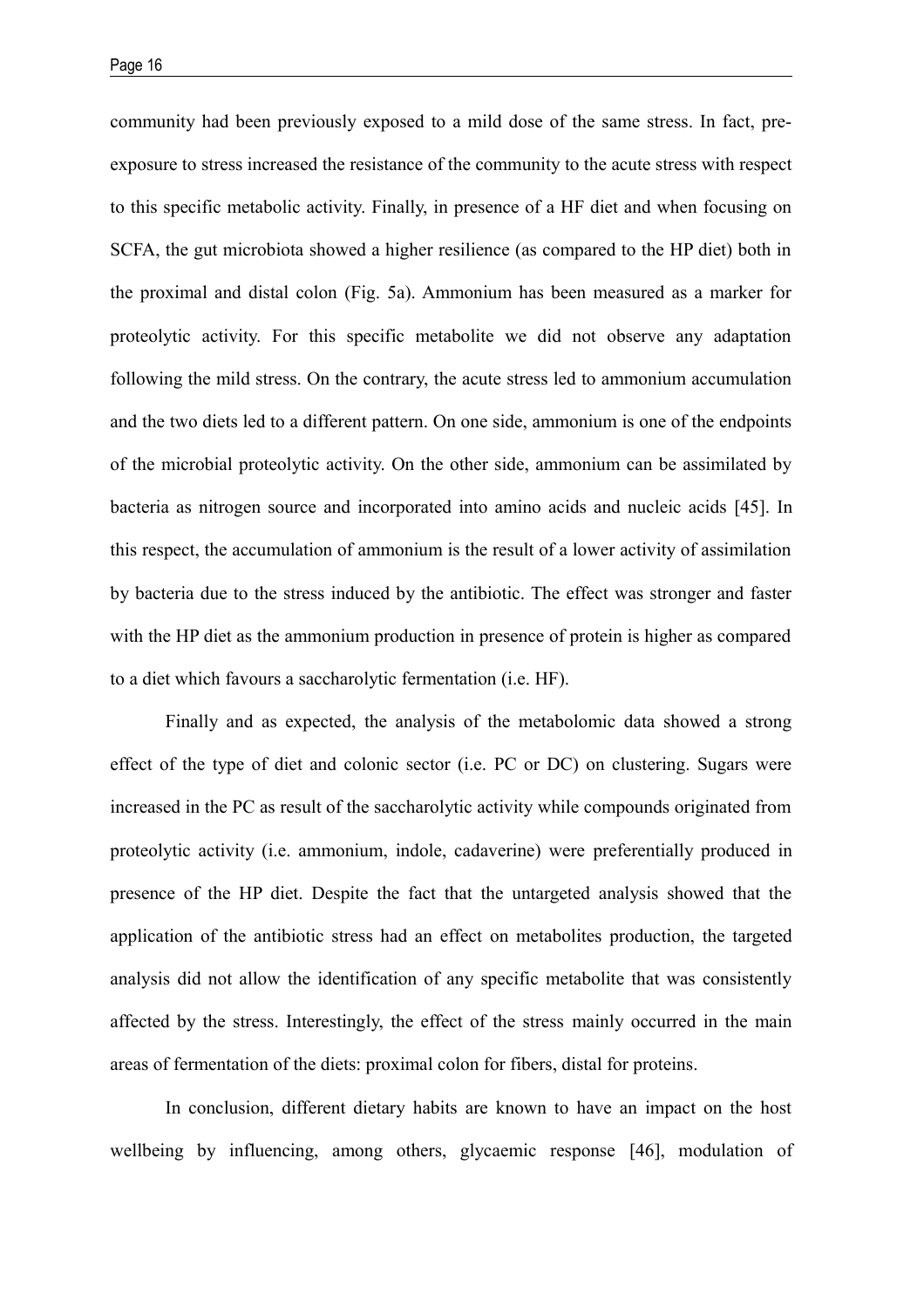community had been previously exposed to a mild dose of the same stress. In fact, preexposure to stress increased the resistance of the community to the acute stress with respect to this specific metabolic activity. Finally, in presence of a HF diet and when focusing on SCFA, the gut microbiota showed a higher resilience (as compared to the HP diet) both in the proximal and distal colon (Fig. 5a). Ammonium has been measured as a marker for proteolytic activity. For this specific metabolite we did not observe any adaptation following the mild stress. On the contrary, the acute stress led to ammonium accumulation and the two diets led to a different pattern. On one side, ammonium is one of the endpoints of the microbial proteolytic activity. On the other side, ammonium can be assimilated by bacteria as nitrogen source and incorporated into amino acids and nucleic acids [45]. In this respect, the accumulation of ammonium is the result of a lower activity of assimilation by bacteria due to the stress induced by the antibiotic. The effect was stronger and faster with the HP diet as the ammonium production in presence of protein is higher as compared to a diet which favours a saccharolytic fermentation (i.e. HF).

Finally and as expected, the analysis of the metabolomic data showed a strong effect of the type of diet and colonic sector (i.e. PC or DC) on clustering. Sugars were increased in the PC as result of the saccharolytic activity while compounds originated from proteolytic activity (i.e. ammonium, indole, cadaverine) were preferentially produced in presence of the HP diet. Despite the fact that the untargeted analysis showed that the application of the antibiotic stress had an effect on metabolites production, the targeted analysis did not allow the identification of any specific metabolite that was consistently affected by the stress. Interestingly, the effect of the stress mainly occurred in the main areas of fermentation of the diets: proximal colon for fibers, distal for proteins.

In conclusion, different dietary habits are known to have an impact on the host wellbeing by influencing, among others, glycaemic response [46], modulation of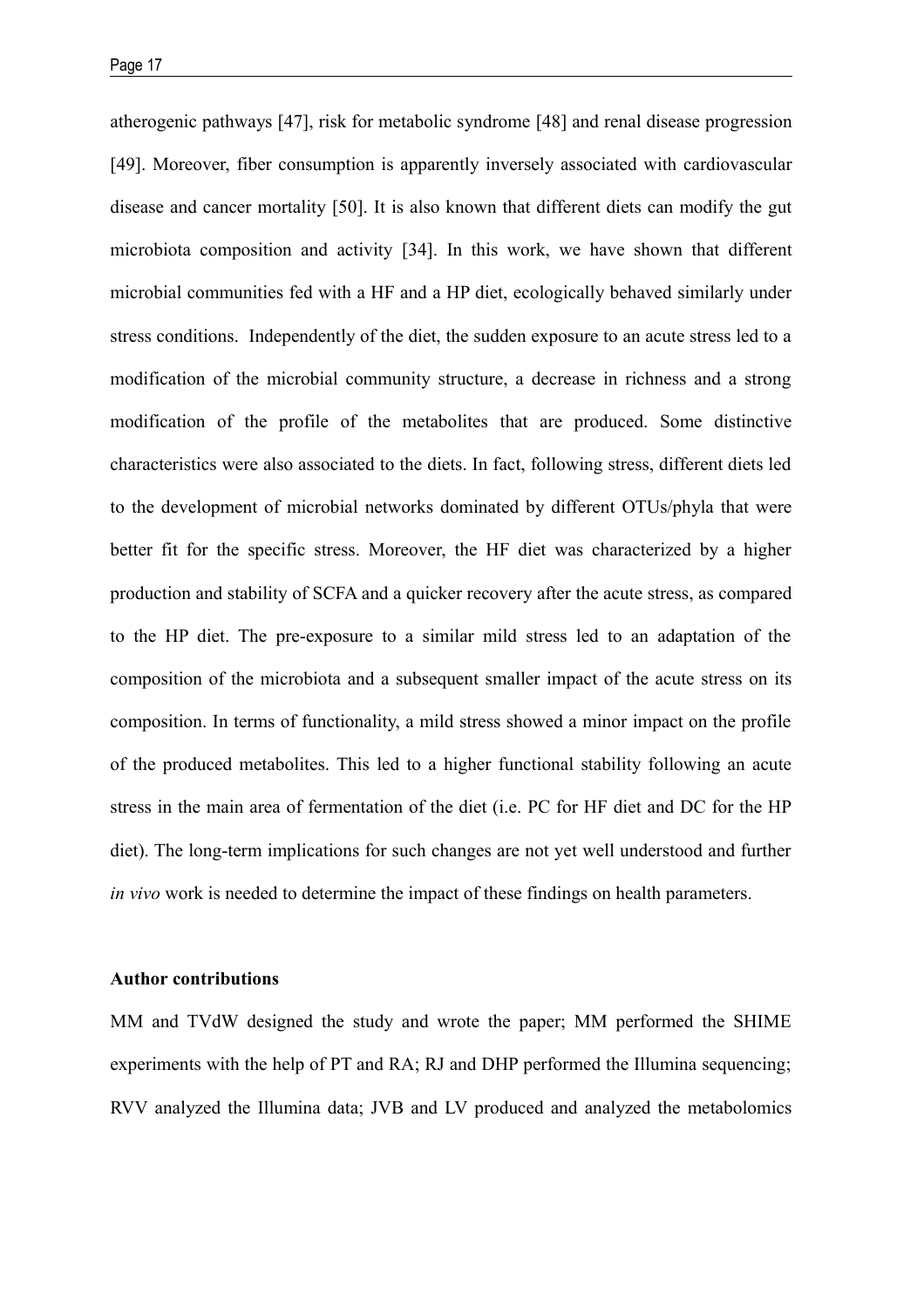atherogenic pathways [47], risk for metabolic syndrome [48] and renal disease progression [49]. Moreover, fiber consumption is apparently inversely associated with cardiovascular disease and cancer mortality [50]. It is also known that different diets can modify the gut microbiota composition and activity [34]. In this work, we have shown that different microbial communities fed with a HF and a HP diet, ecologically behaved similarly under stress conditions. Independently of the diet, the sudden exposure to an acute stress led to a modification of the microbial community structure, a decrease in richness and a strong modification of the profile of the metabolites that are produced. Some distinctive characteristics were also associated to the diets. In fact, following stress, different diets led to the development of microbial networks dominated by different OTUs/phyla that were better fit for the specific stress. Moreover, the HF diet was characterized by a higher production and stability of SCFA and a quicker recovery after the acute stress, as compared to the HP diet. The pre-exposure to a similar mild stress led to an adaptation of the composition of the microbiota and a subsequent smaller impact of the acute stress on its composition. In terms of functionality, a mild stress showed a minor impact on the profile of the produced metabolites. This led to a higher functional stability following an acute stress in the main area of fermentation of the diet (i.e. PC for HF diet and DC for the HP diet). The long-term implications for such changes are not yet well understood and further *in vivo* work is needed to determine the impact of these findings on health parameters.

# **Author contributions**

MM and TVdW designed the study and wrote the paper; MM performed the SHIME experiments with the help of PT and RA; RJ and DHP performed the Illumina sequencing; RVV analyzed the Illumina data; JVB and LV produced and analyzed the metabolomics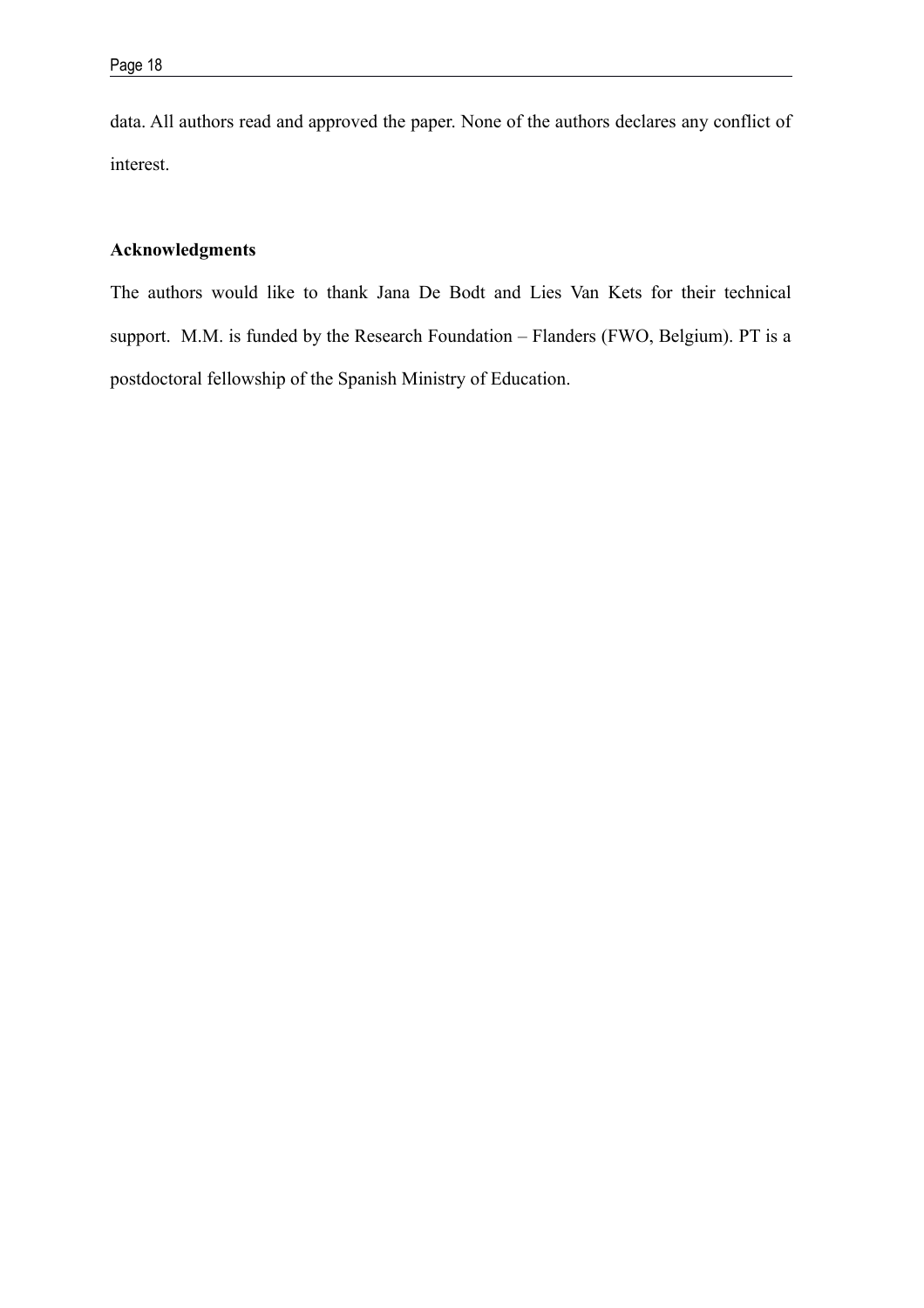data. All authors read and approved the paper. None of the authors declares any conflict of interest.

# **Acknowledgments**

The authors would like to thank Jana De Bodt and Lies Van Kets for their technical support. M.M. is funded by the Research Foundation – Flanders (FWO, Belgium). PT is a postdoctoral fellowship of the Spanish Ministry of Education.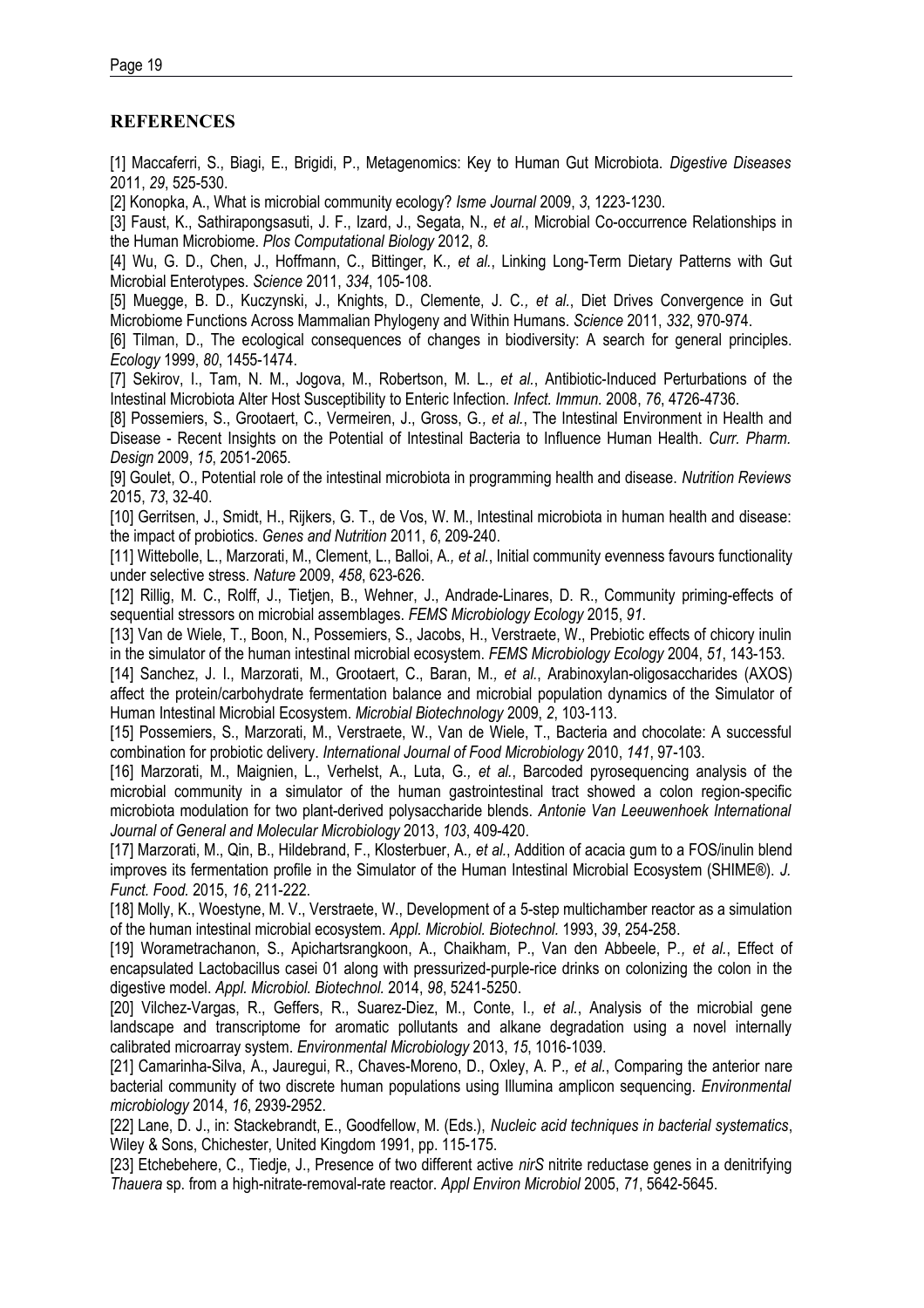# **REFERENCES**

[1] Maccaferri, S., Biagi, E., Brigidi, P., Metagenomics: Key to Human Gut Microbiota. *Digestive Diseases* 2011, *29*, 525-530.

[2] Konopka, A., What is microbial community ecology? *Isme Journal* 2009, *3*, 1223-1230.

[3] Faust, K., Sathirapongsasuti, J. F., Izard, J., Segata, N.*, et al.*, Microbial Co-occurrence Relationships in the Human Microbiome. *Plos Computational Biology* 2012, *8*.

[4] Wu, G. D., Chen, J., Hoffmann, C., Bittinger, K.*, et al.*, Linking Long-Term Dietary Patterns with Gut Microbial Enterotypes. *Science* 2011, *334*, 105-108.

[5] Muegge, B. D., Kuczynski, J., Knights, D., Clemente, J. C.*, et al.*, Diet Drives Convergence in Gut Microbiome Functions Across Mammalian Phylogeny and Within Humans. *Science* 2011, *332*, 970-974.

[6] Tilman, D., The ecological consequences of changes in biodiversity: A search for general principles. *Ecology* 1999, *80*, 1455-1474.

[7] Sekirov, I., Tam, N. M., Jogova, M., Robertson, M. L.*, et al.*, Antibiotic-Induced Perturbations of the Intestinal Microbiota Alter Host Susceptibility to Enteric Infection. *Infect. Immun.* 2008, *76*, 4726-4736.

[8] Possemiers, S., Grootaert, C., Vermeiren, J., Gross, G.*, et al.*, The Intestinal Environment in Health and Disease - Recent Insights on the Potential of Intestinal Bacteria to Influence Human Health. *Curr. Pharm. Design* 2009, *15*, 2051-2065.

[9] Goulet, O., Potential role of the intestinal microbiota in programming health and disease. *Nutrition Reviews* 2015, *73*, 32-40.

[10] Gerritsen, J., Smidt, H., Rijkers, G. T., de Vos, W. M., Intestinal microbiota in human health and disease: the impact of probiotics. *Genes and Nutrition* 2011, *6*, 209-240.

[11] Wittebolle, L., Marzorati, M., Clement, L., Balloi, A.*, et al.*, Initial community evenness favours functionality under selective stress. *Nature* 2009, *458*, 623-626.

[12] Rillig, M. C., Rolff, J., Tietjen, B., Wehner, J., Andrade-Linares, D. R., Community priming-effects of sequential stressors on microbial assemblages. *FEMS Microbiology Ecology* 2015, *91*.

[13] Van de Wiele, T., Boon, N., Possemiers, S., Jacobs, H., Verstraete, W., Prebiotic effects of chicory inulin in the simulator of the human intestinal microbial ecosystem. *FEMS Microbiology Ecology* 2004, *51*, 143-153.

[14] Sanchez, J. I., Marzorati, M., Grootaert, C., Baran, M.*, et al.*, Arabinoxylan-oligosaccharides (AXOS) affect the protein/carbohydrate fermentation balance and microbial population dynamics of the Simulator of Human Intestinal Microbial Ecosystem. *Microbial Biotechnology* 2009, *2*, 103-113.

[15] Possemiers, S., Marzorati, M., Verstraete, W., Van de Wiele, T., Bacteria and chocolate: A successful combination for probiotic delivery. *International Journal of Food Microbiology* 2010, *141*, 97-103.

[16] Marzorati, M., Maignien, L., Verhelst, A., Luta, G.*, et al.*, Barcoded pyrosequencing analysis of the microbial community in a simulator of the human gastrointestinal tract showed a colon region-specific microbiota modulation for two plant-derived polysaccharide blends. *Antonie Van Leeuwenhoek International Journal of General and Molecular Microbiology* 2013, *103*, 409-420.

[17] Marzorati, M., Qin, B., Hildebrand, F., Klosterbuer, A.*, et al.*, Addition of acacia gum to a FOS/inulin blend improves its fermentation profile in the Simulator of the Human Intestinal Microbial Ecosystem (SHIME®). *J. Funct. Food.* 2015, *16*, 211-222.

[18] Molly, K., Woestyne, M. V., Verstraete, W., Development of a 5-step multichamber reactor as a simulation of the human intestinal microbial ecosystem. *Appl. Microbiol. Biotechnol.* 1993, *39*, 254-258.

[19] Worametrachanon, S., Apichartsrangkoon, A., Chaikham, P., Van den Abbeele, P.*, et al.*, Effect of encapsulated Lactobacillus casei 01 along with pressurized-purple-rice drinks on colonizing the colon in the digestive model. *Appl. Microbiol. Biotechnol.* 2014, *98*, 5241-5250.

[20] Vilchez-Vargas, R., Geffers, R., Suarez-Diez, M., Conte, I.*, et al.*, Analysis of the microbial gene landscape and transcriptome for aromatic pollutants and alkane degradation using a novel internally calibrated microarray system. *Environmental Microbiology* 2013, *15*, 1016-1039.

[21] Camarinha-Silva, A., Jauregui, R., Chaves-Moreno, D., Oxley, A. P.*, et al.*, Comparing the anterior nare bacterial community of two discrete human populations using Illumina amplicon sequencing. *Environmental microbiology* 2014, *16*, 2939-2952.

[22] Lane, D. J., in: Stackebrandt, E., Goodfellow, M. (Eds.), *Nucleic acid techniques in bacterial systematics*, Wiley & Sons, Chichester, United Kingdom 1991, pp. 115-175.

[23] Etchebehere, C., Tiedje, J., Presence of two different active *nirS* nitrite reductase genes in a denitrifying *Thauera* sp. from a high-nitrate-removal-rate reactor. *Appl Environ Microbiol* 2005, *71*, 5642-5645.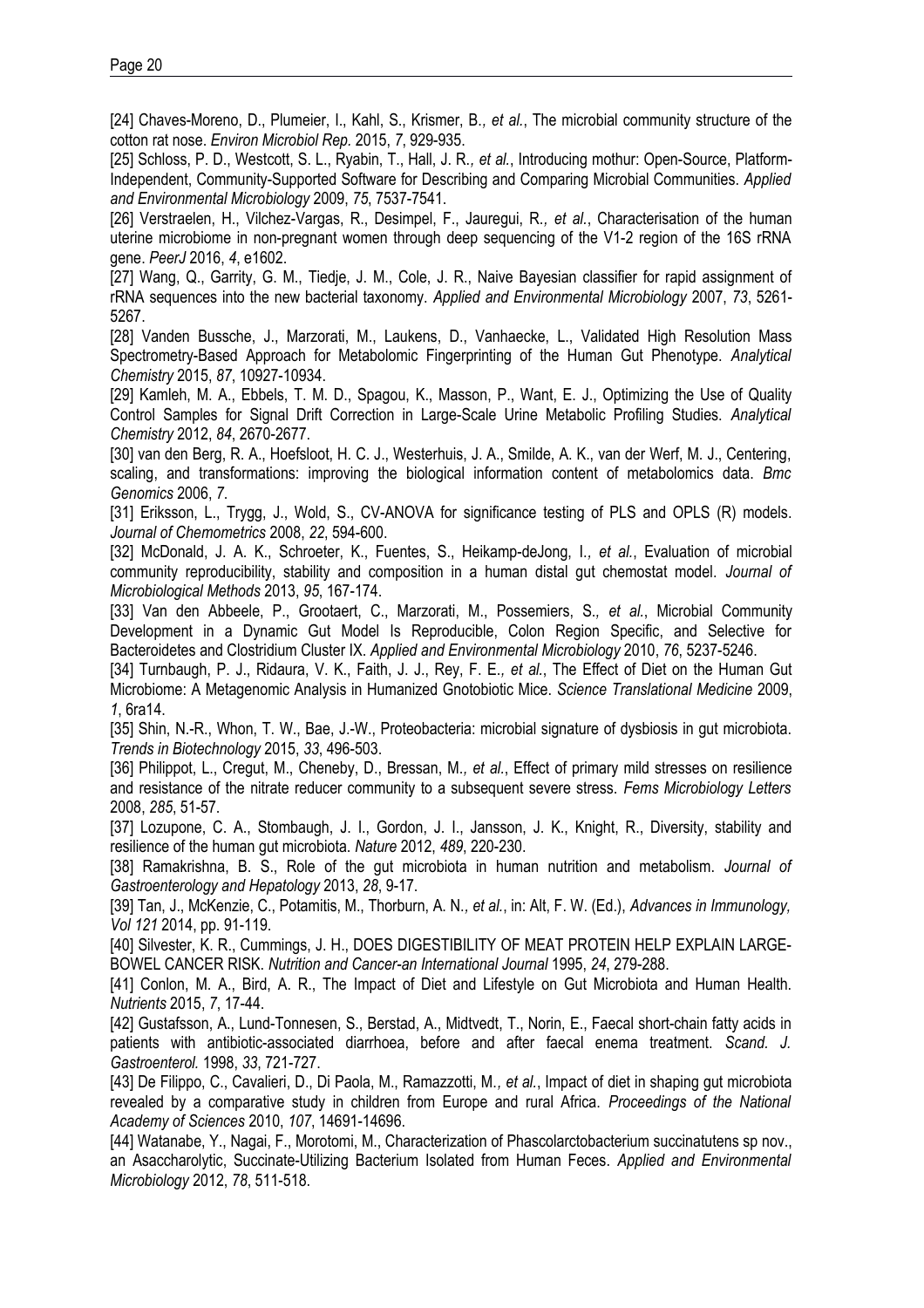[24] Chaves-Moreno, D., Plumeier, I., Kahl, S., Krismer, B.*, et al.*, The microbial community structure of the cotton rat nose. *Environ Microbiol Rep.* 2015, *7*, 929-935.

[25] Schloss, P. D., Westcott, S. L., Ryabin, T., Hall, J. R.*, et al.*, Introducing mothur: Open-Source, Platform-Independent, Community-Supported Software for Describing and Comparing Microbial Communities. *Applied and Environmental Microbiology* 2009, *75*, 7537-7541.

[26] Verstraelen, H., Vilchez-Vargas, R., Desimpel, F., Jauregui, R.*, et al.*, Characterisation of the human uterine microbiome in non-pregnant women through deep sequencing of the V1-2 region of the 16S rRNA gene. *PeerJ* 2016, *4*, e1602.

[27] Wang, Q., Garrity, G. M., Tiedje, J. M., Cole, J. R., Naive Bayesian classifier for rapid assignment of rRNA sequences into the new bacterial taxonomy. *Applied and Environmental Microbiology* 2007, *73*, 5261- 5267.

[28] Vanden Bussche, J., Marzorati, M., Laukens, D., Vanhaecke, L., Validated High Resolution Mass Spectrometry-Based Approach for Metabolomic Fingerprinting of the Human Gut Phenotype. *Analytical Chemistry* 2015, *87*, 10927-10934.

[29] Kamleh, M. A., Ebbels, T. M. D., Spagou, K., Masson, P., Want, E. J., Optimizing the Use of Quality Control Samples for Signal Drift Correction in Large-Scale Urine Metabolic Profiling Studies. *Analytical Chemistry* 2012, *84*, 2670-2677.

[30] van den Berg, R. A., Hoefsloot, H. C. J., Westerhuis, J. A., Smilde, A. K., van der Werf, M. J., Centering, scaling, and transformations: improving the biological information content of metabolomics data. *Bmc Genomics* 2006, *7*.

[31] Eriksson, L., Trygg, J., Wold, S., CV-ANOVA for significance testing of PLS and OPLS (R) models. *Journal of Chemometrics* 2008, *22*, 594-600.

[32] McDonald, J. A. K., Schroeter, K., Fuentes, S., Heikamp-deJong, I.*, et al.*, Evaluation of microbial community reproducibility, stability and composition in a human distal gut chemostat model. *Journal of Microbiological Methods* 2013, *95*, 167-174.

[33] Van den Abbeele, P., Grootaert, C., Marzorati, M., Possemiers, S.*, et al.*, Microbial Community Development in a Dynamic Gut Model Is Reproducible, Colon Region Specific, and Selective for Bacteroidetes and Clostridium Cluster IX. *Applied and Environmental Microbiology* 2010, *76*, 5237-5246.

[34] Turnbaugh, P. J., Ridaura, V. K., Faith, J. J., Rey, F. E.*, et al.*, The Effect of Diet on the Human Gut Microbiome: A Metagenomic Analysis in Humanized Gnotobiotic Mice. *Science Translational Medicine* 2009, *1*, 6ra14.

[35] Shin, N.-R., Whon, T. W., Bae, J.-W., Proteobacteria: microbial signature of dysbiosis in gut microbiota. *Trends in Biotechnology* 2015, *33*, 496-503.

[36] Philippot, L., Cregut, M., Cheneby, D., Bressan, M.*, et al.*, Effect of primary mild stresses on resilience and resistance of the nitrate reducer community to a subsequent severe stress. *Fems Microbiology Letters* 2008, *285*, 51-57.

[37] Lozupone, C. A., Stombaugh, J. I., Gordon, J. I., Jansson, J. K., Knight, R., Diversity, stability and resilience of the human gut microbiota. *Nature* 2012, *489*, 220-230.

[38] Ramakrishna, B. S., Role of the gut microbiota in human nutrition and metabolism. *Journal of Gastroenterology and Hepatology* 2013, *28*, 9-17.

[39] Tan, J., McKenzie, C., Potamitis, M., Thorburn, A. N.*, et al.*, in: Alt, F. W. (Ed.), *Advances in Immunology, Vol 121* 2014, pp. 91-119.

[40] Silvester, K. R., Cummings, J. H., DOES DIGESTIBILITY OF MEAT PROTEIN HELP EXPLAIN LARGE-BOWEL CANCER RISK. *Nutrition and Cancer-an International Journal* 1995, *24*, 279-288.

[41] Conlon, M. A., Bird, A. R., The Impact of Diet and Lifestyle on Gut Microbiota and Human Health. *Nutrients* 2015, *7*, 17-44.

[42] Gustafsson, A., Lund-Tonnesen, S., Berstad, A., Midtvedt, T., Norin, E., Faecal short-chain fatty acids in patients with antibiotic-associated diarrhoea, before and after faecal enema treatment. *Scand. J. Gastroenterol.* 1998, *33*, 721-727.

[43] De Filippo, C., Cavalieri, D., Di Paola, M., Ramazzotti, M.*, et al.*, Impact of diet in shaping gut microbiota revealed by a comparative study in children from Europe and rural Africa. *Proceedings of the National Academy of Sciences* 2010, *107*, 14691-14696.

[44] Watanabe, Y., Nagai, F., Morotomi, M., Characterization of Phascolarctobacterium succinatutens sp nov., an Asaccharolytic, Succinate-Utilizing Bacterium Isolated from Human Feces. *Applied and Environmental Microbiology* 2012, *78*, 511-518.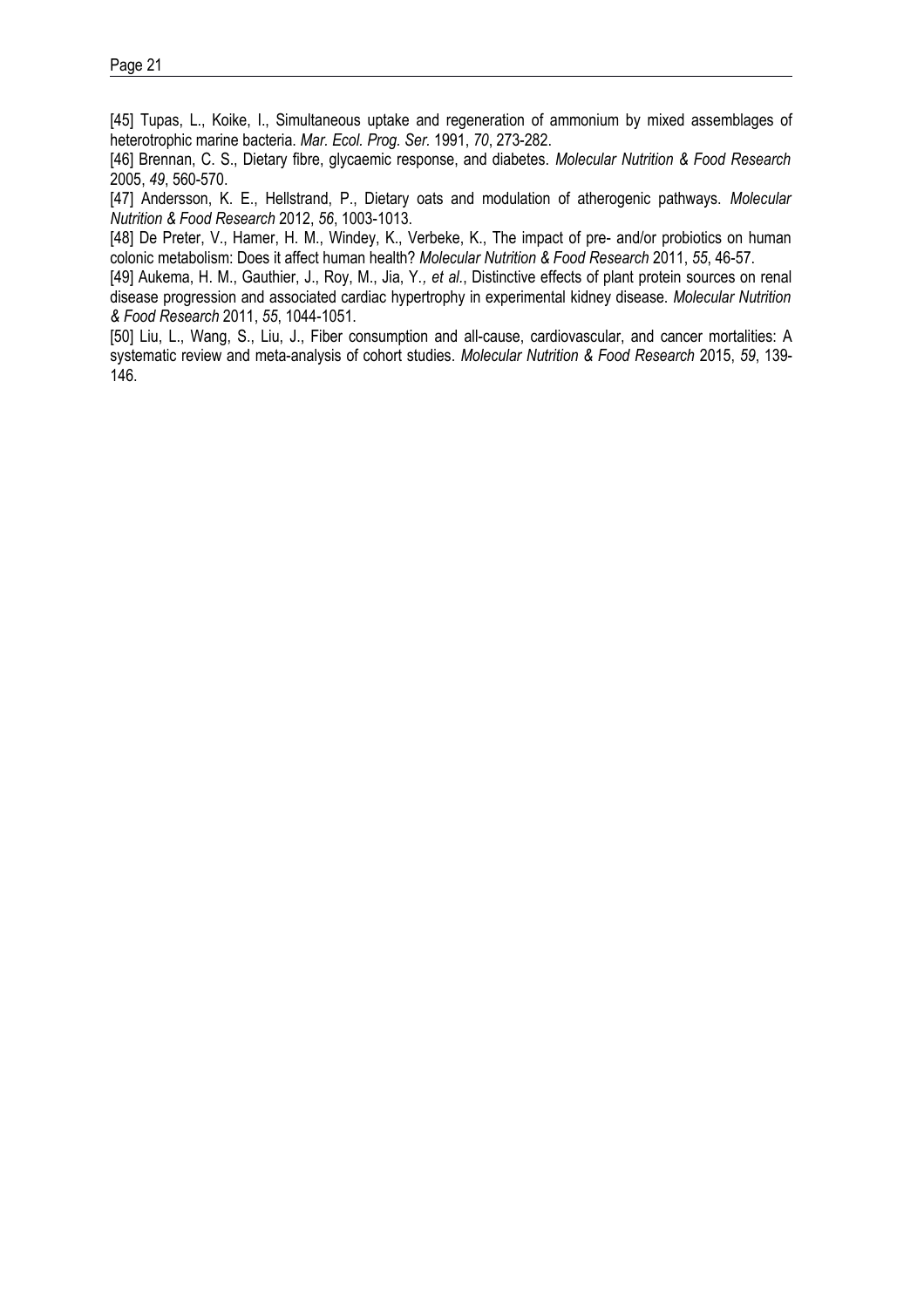[45] Tupas, L., Koike, I., Simultaneous uptake and regeneration of ammonium by mixed assemblages of heterotrophic marine bacteria. *Mar. Ecol. Prog. Ser.* 1991, *70*, 273-282.

[46] Brennan, C. S., Dietary fibre, glycaemic response, and diabetes. *Molecular Nutrition & Food Research* 2005, *49*, 560-570.

[47] Andersson, K. E., Hellstrand, P., Dietary oats and modulation of atherogenic pathways. *Molecular Nutrition & Food Research* 2012, *56*, 1003-1013.

[48] De Preter, V., Hamer, H. M., Windey, K., Verbeke, K., The impact of pre- and/or probiotics on human colonic metabolism: Does it affect human health? *Molecular Nutrition & Food Research* 2011, *55*, 46-57.

[49] Aukema, H. M., Gauthier, J., Roy, M., Jia, Y.*, et al.*, Distinctive effects of plant protein sources on renal disease progression and associated cardiac hypertrophy in experimental kidney disease. *Molecular Nutrition & Food Research* 2011, *55*, 1044-1051.

[50] Liu, L., Wang, S., Liu, J., Fiber consumption and all-cause, cardiovascular, and cancer mortalities: A systematic review and meta-analysis of cohort studies. *Molecular Nutrition & Food Research* 2015, *59*, 139- 146.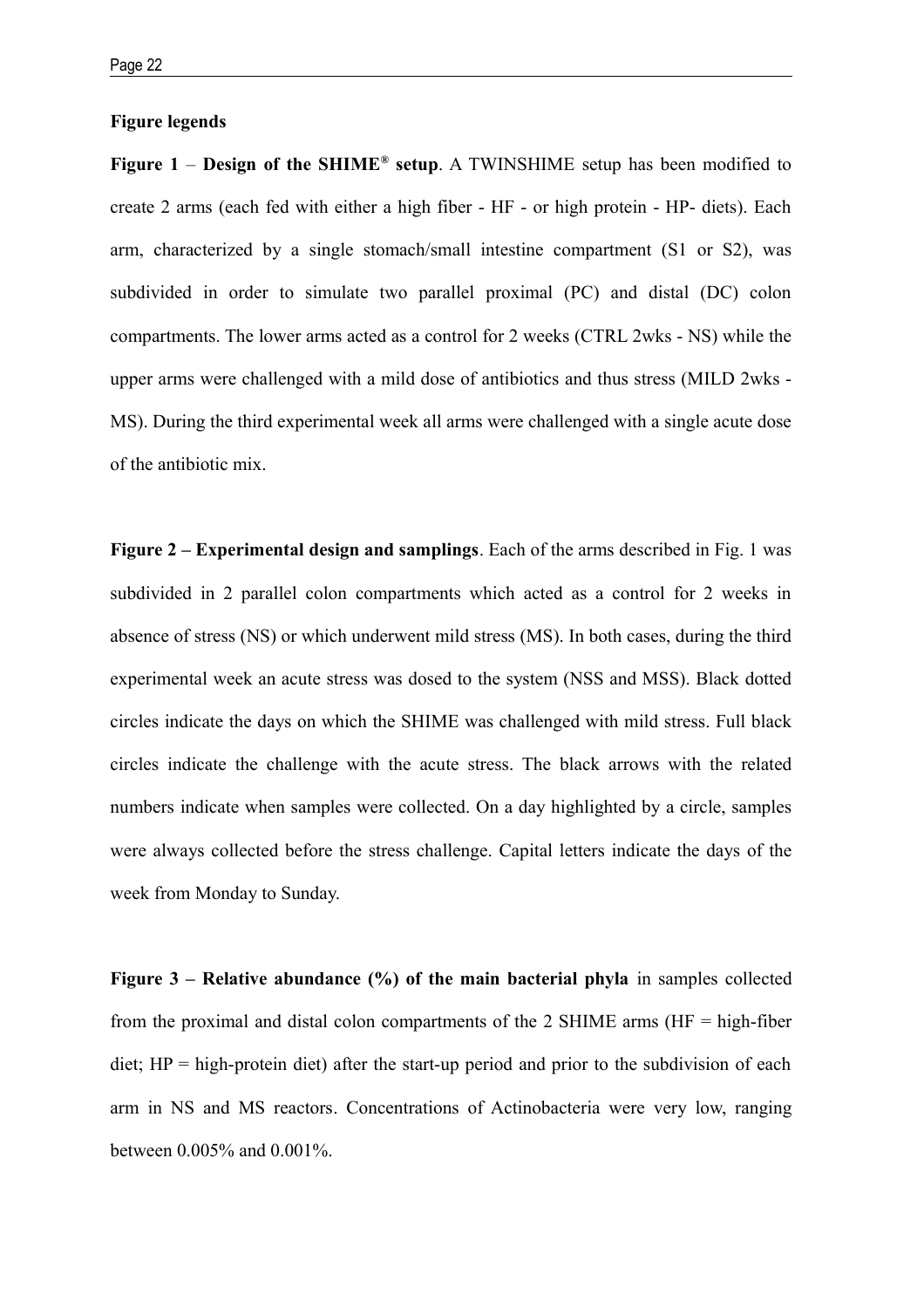#### **Figure legends**

**Figure 1 – Design of the SHIME<sup>®</sup> setup**. A TWINSHIME setup has been modified to create 2 arms (each fed with either a high fiber - HF - or high protein - HP- diets). Each arm, characterized by a single stomach/small intestine compartment (S1 or S2), was subdivided in order to simulate two parallel proximal (PC) and distal (DC) colon compartments. The lower arms acted as a control for 2 weeks (CTRL 2wks - NS) while the upper arms were challenged with a mild dose of antibiotics and thus stress (MILD 2wks - MS). During the third experimental week all arms were challenged with a single acute dose of the antibiotic mix.

**Figure 2 – Experimental design and samplings**. Each of the arms described in Fig. 1 was subdivided in 2 parallel colon compartments which acted as a control for 2 weeks in absence of stress (NS) or which underwent mild stress (MS). In both cases, during the third experimental week an acute stress was dosed to the system (NSS and MSS). Black dotted circles indicate the days on which the SHIME was challenged with mild stress. Full black circles indicate the challenge with the acute stress. The black arrows with the related numbers indicate when samples were collected. On a day highlighted by a circle, samples were always collected before the stress challenge. Capital letters indicate the days of the week from Monday to Sunday.

**Figure 3 – Relative abundance (%) of the main bacterial phyla** in samples collected from the proximal and distal colon compartments of the 2 SHIME arms ( $HF = high-fiber$ ) diet;  $HP = high-protein$  diet) after the start-up period and prior to the subdivision of each arm in NS and MS reactors. Concentrations of Actinobacteria were very low, ranging between 0.005% and 0.001%.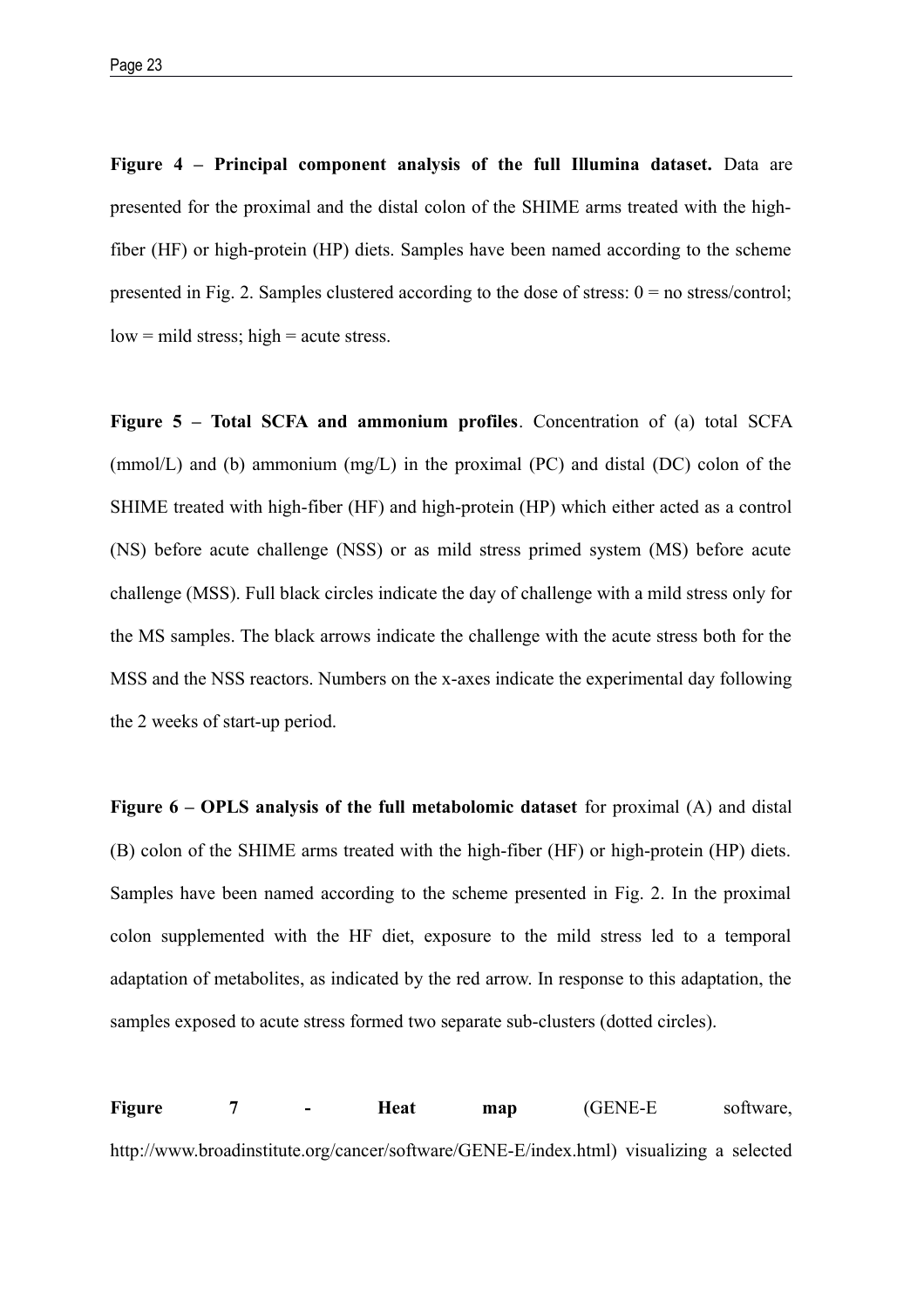**Figure 4 – Principal component analysis of the full Illumina dataset.** Data are presented for the proximal and the distal colon of the SHIME arms treated with the highfiber (HF) or high-protein (HP) diets. Samples have been named according to the scheme presented in Fig. 2. Samples clustered according to the dose of stress:  $0 =$  no stress/control;  $low = mild stress$ ; high  $= acute stress$ .

**Figure 5 – Total SCFA and ammonium profiles**. Concentration of (a) total SCFA (mmol/L) and (b) ammonium (mg/L) in the proximal (PC) and distal (DC) colon of the SHIME treated with high-fiber (HF) and high-protein (HP) which either acted as a control (NS) before acute challenge (NSS) or as mild stress primed system (MS) before acute challenge (MSS). Full black circles indicate the day of challenge with a mild stress only for the MS samples. The black arrows indicate the challenge with the acute stress both for the MSS and the NSS reactors. Numbers on the x-axes indicate the experimental day following the 2 weeks of start-up period.

**Figure 6 – OPLS analysis of the full metabolomic dataset** for proximal (A) and distal (B) colon of the SHIME arms treated with the high-fiber (HF) or high-protein (HP) diets. Samples have been named according to the scheme presented in Fig. 2. In the proximal colon supplemented with the HF diet, exposure to the mild stress led to a temporal adaptation of metabolites, as indicated by the red arrow. In response to this adaptation, the samples exposed to acute stress formed two separate sub-clusters (dotted circles).

**Figure 7 - Heat map** (GENE-E software, http://www.broadinstitute.org/cancer/software/GENE-E/index.html) visualizing a selected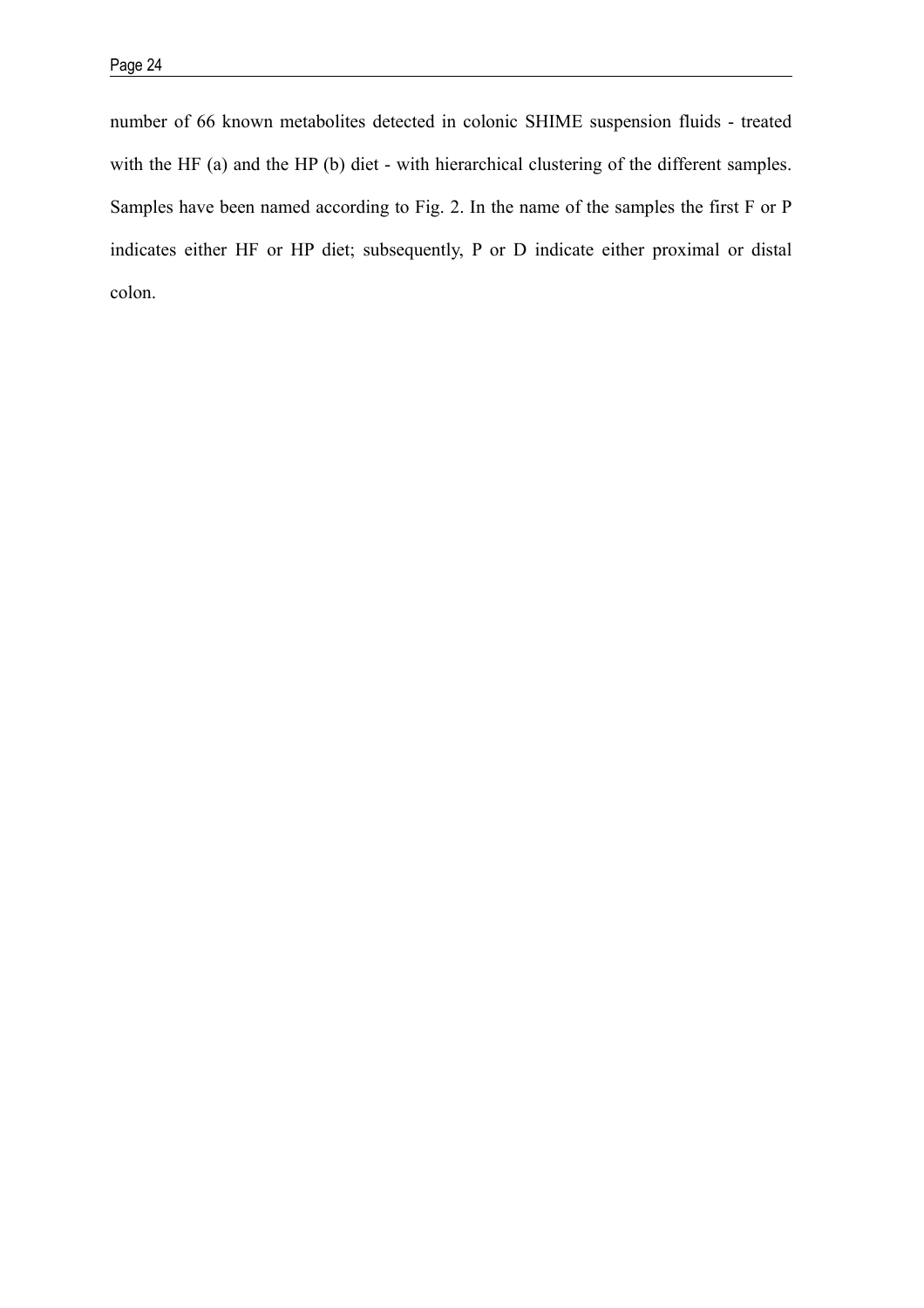number of 66 known metabolites detected in colonic SHIME suspension fluids - treated with the HF (a) and the HP (b) diet - with hierarchical clustering of the different samples. Samples have been named according to Fig. 2. In the name of the samples the first F or P indicates either HF or HP diet; subsequently, P or D indicate either proximal or distal colon.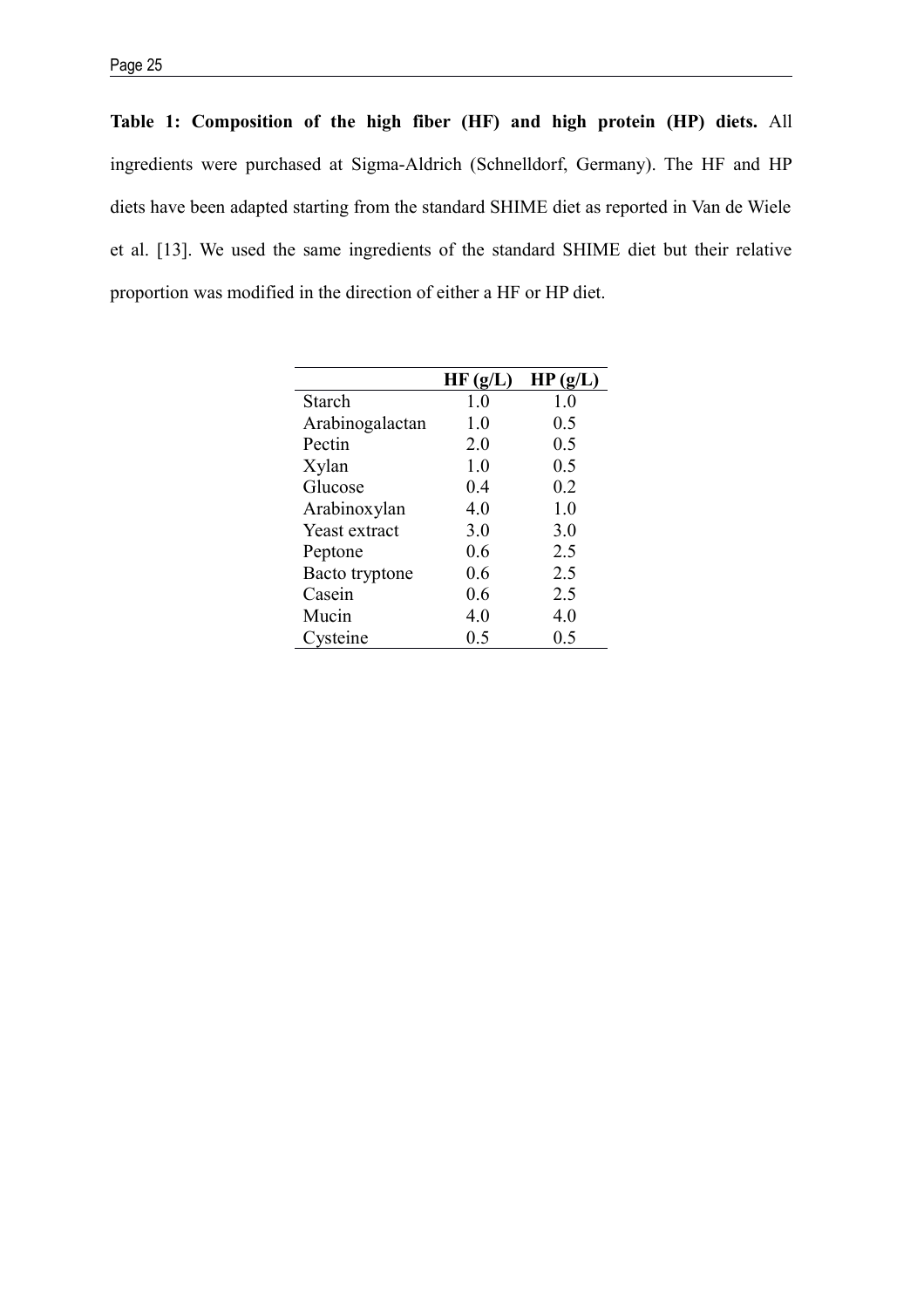**Table 1: Composition of the high fiber (HF) and high protein (HP) diets.** All ingredients were purchased at Sigma-Aldrich (Schnelldorf, Germany). The HF and HP diets have been adapted starting from the standard SHIME diet as reported in Van de Wiele et al. [13]. We used the same ingredients of the standard SHIME diet but their relative proportion was modified in the direction of either a HF or HP diet.

|                 | HF(g/L) | HP(g/L) |
|-----------------|---------|---------|
| Starch          | 1.0     | 1.0     |
| Arabinogalactan | 1.0     | 0.5     |
| Pectin          | 2.0     | 0.5     |
| Xylan           | 1.0     | 0.5     |
| Glucose         | 0.4     | 0.2     |
| Arabinoxylan    | 4.0     | 1.0     |
| Yeast extract   | 3.0     | 3.0     |
| Peptone         | 0.6     | 2.5     |
| Bacto tryptone  | 0.6     | 2.5     |
| Casein          | 0.6     | 2.5     |
| Mucin           | 4.0     | 4.0     |
| Cysteine        | 0.5     | 0.5     |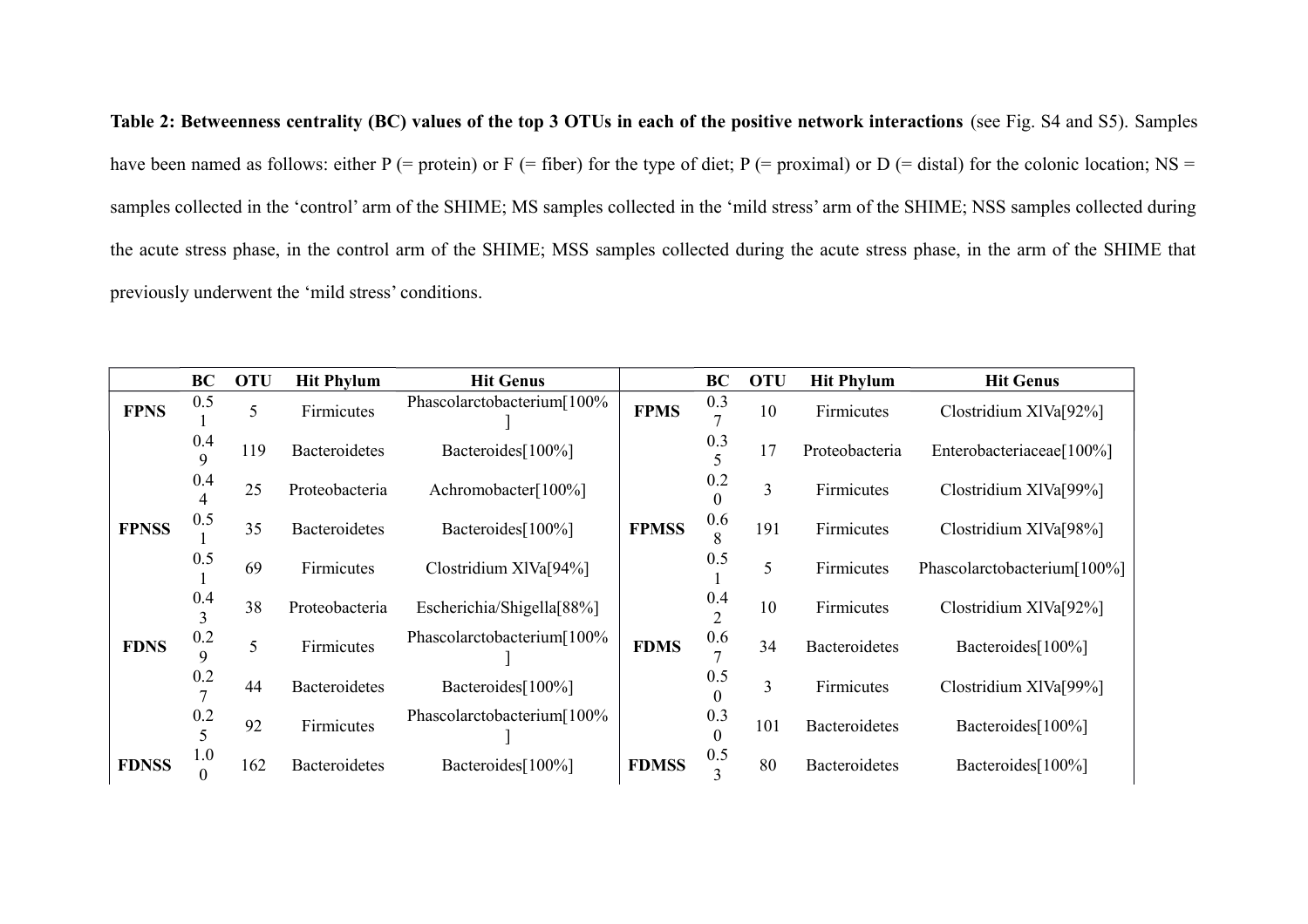**Table 2: Betweenness centrality (BC) values of the top 3 OTUs in each of the positive network interactions** (see Fig. S4 and S5). Samples have been named as follows: either P (= protein) or F (= fiber) for the type of diet; P (= proximal) or D (= distal) for the colonic location; NS = samples collected in the 'control' arm of the SHIME; MS samples collected in the 'mild stress' arm of the SHIME; NSS samples collected during the acute stress phase, in the control arm of the SHIME; MSS samples collected during the acute stress phase, in the arm of the SHIME that previously underwent the 'mild stress' conditions.

|              | <b>BC</b>             | <b>OTU</b> | <b>Hit Phylum</b>    | <b>Hit Genus</b>           |              | BC                    | <b>OTU</b>     | <b>Hit Phylum</b> | <b>Hit Genus</b>            |
|--------------|-----------------------|------------|----------------------|----------------------------|--------------|-----------------------|----------------|-------------------|-----------------------------|
| <b>FPNS</b>  | 0.5                   | 5          | Firmicutes           | Phascolarctobacterium[100% | <b>FPMS</b>  | 0.3<br>$\overline{ }$ | 10             | Firmicutes        | Clostridium XIVa[92%]       |
|              | 0.4                   | 119        | <b>Bacteroidetes</b> | Bacteroides[100%]          |              | 0.3                   | 17             | Proteobacteria    | Enterobacteriaceae[100%]    |
|              | 0.4                   | 25         | Proteobacteria       | Achromobacter[100%]        |              | 0.2                   | 3              | Firmicutes        | Clostridium XIVa[99%]       |
| <b>FPNSS</b> | 0.5                   | 35         | <b>Bacteroidetes</b> | Bacteroides[100%]          | <b>FPMSS</b> | 0.6<br>8              | 191            | Firmicutes        | Clostridium XIVa[98%]       |
|              | 0.5                   | 69         | Firmicutes           | Clostridium XIVa[94%]      |              | 0.5                   | 5              | Firmicutes        | Phascolarctobacterium[100%] |
|              | 0.4<br>$\overline{3}$ | 38         | Proteobacteria       | Escherichia/Shigella[88%]  |              | 0.4<br>$\mathcal{L}$  | 10             | Firmicutes        | Clostridium XIVa[92%]       |
| <b>FDNS</b>  | 0.2<br>9              | 5          | Firmicutes           | Phascolarctobacterium[100% | <b>FDMS</b>  | 0.6<br>$\overline{ }$ | 34             | Bacteroidetes     | Bacteroides[100%]           |
|              | 0.2                   | 44         | <b>Bacteroidetes</b> | Bacteroides[100%]          |              | 0.5<br>$\Omega$       | $\overline{3}$ | Firmicutes        | Clostridium XIVa[99%]       |
|              | 0.2                   | 92         | Firmicutes           | Phascolarctobacterium[100% |              | 0.3                   | 101            | Bacteroidetes     | Bacteroides[100%]           |
| <b>FDNSS</b> | 1.0                   | 162        | <b>Bacteroidetes</b> | Bacteroides[100%]          | <b>FDMSS</b> | 0.5                   | 80             | Bacteroidetes     | Bacteroides[100%]           |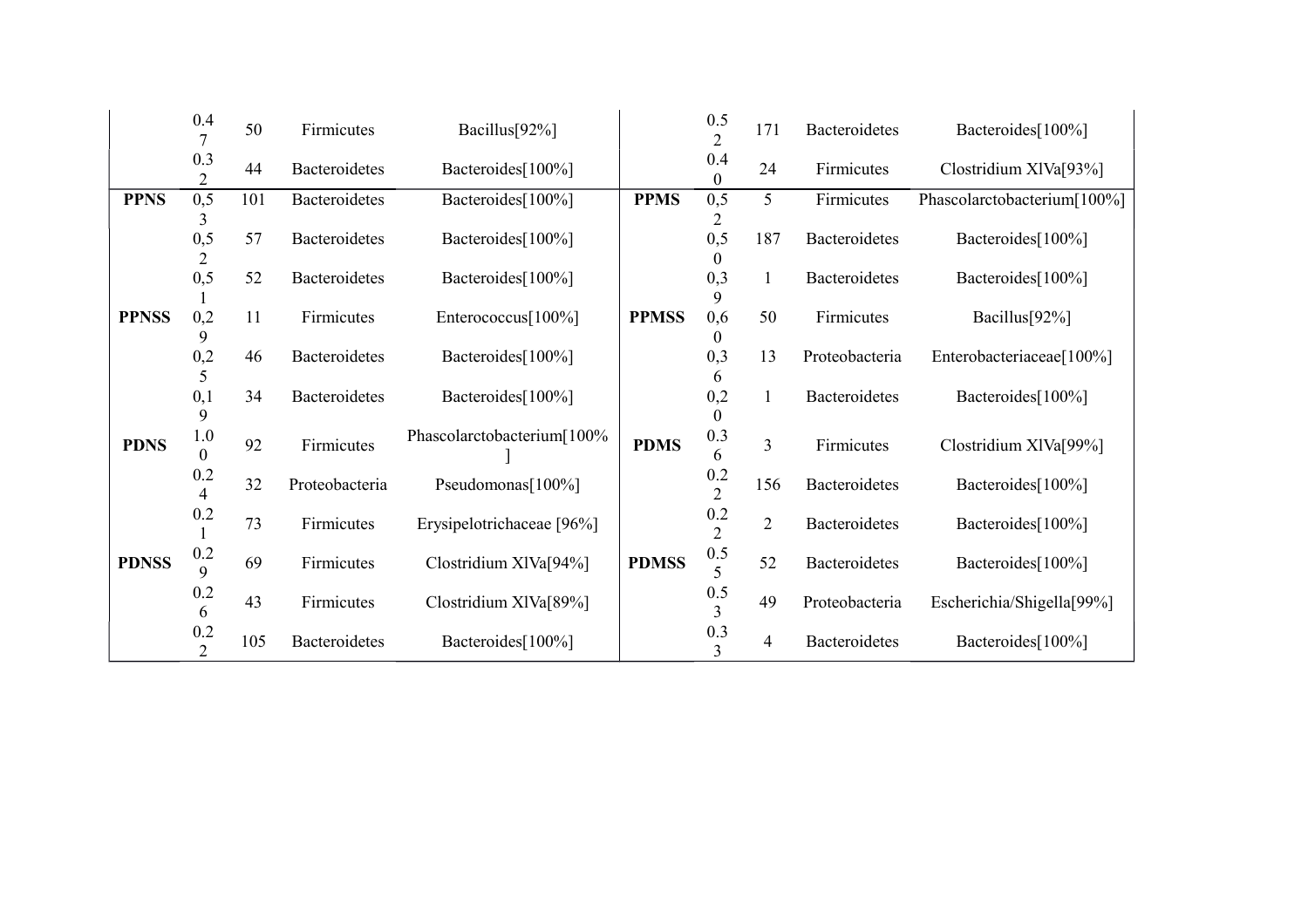|              | 0.4                    | 50  | Firmicutes           | Bacillus[92%]              |              | 0.5<br>$\overline{2}$     | 171                     | Bacteroidetes  | Bacteroides[100%]           |
|--------------|------------------------|-----|----------------------|----------------------------|--------------|---------------------------|-------------------------|----------------|-----------------------------|
|              | 0.3<br>$\overline{2}$  | 44  | <b>Bacteroidetes</b> | Bacteroides[100%]          |              | 0.4<br>$\Omega$           | 24                      | Firmicutes     | Clostridium XIVa[93%]       |
| <b>PPNS</b>  | 0, 5                   | 101 | Bacteroidetes        | Bacteroides[100%]          | <b>PPMS</b>  | 0, 5                      | 5                       | Firmicutes     | Phascolarctobacterium[100%] |
|              | 0, 5<br>$\overline{2}$ | 57  | <b>Bacteroidetes</b> | Bacteroides[100%]          |              | 0,5                       | 187                     | Bacteroidetes  | Bacteroides[100%]           |
|              | 0,5                    | 52  | <b>Bacteroidetes</b> | Bacteroides[100%]          |              | 0,3                       | 1                       | Bacteroidetes  | Bacteroides[100%]           |
| <b>PPNSS</b> | 0,2<br>9               | 11  | Firmicutes           | Enterococcus[100%]         | <b>PPMSS</b> | 0,6                       | 50                      | Firmicutes     | Bacillus[92%]               |
|              | 0,2                    | 46  | <b>Bacteroidetes</b> | Bacteroides[100%]          |              | 0,3                       | 13                      | Proteobacteria | Enterobacteriaceae[100%]    |
|              | 5<br>0,1<br>9          | 34  | <b>Bacteroidetes</b> | Bacteroides[100%]          |              | 0,2                       | $\mathbf{1}$            | Bacteroidetes  | Bacteroides[100%]           |
| <b>PDNS</b>  | 1.0<br>$\overline{0}$  | 92  | Firmicutes           | Phascolarctobacterium[100% | <b>PDMS</b>  | 0.3<br>6                  | $\overline{\mathbf{3}}$ | Firmicutes     | Clostridium XIVa[99%]       |
|              | 0.2<br>4               | 32  | Proteobacteria       | Pseudomonas[100%]          |              | 0.2<br>$\overline{2}$     | 156                     | Bacteroidetes  | Bacteroides[100%]           |
|              | $0.2\,$                | 73  | Firmicutes           | Erysipelotrichaceae [96%]  |              | $0.2\,$<br>$\overline{2}$ | $\overline{2}$          | Bacteroidetes  | Bacteroides[100%]           |
| <b>PDNSS</b> | 0.2<br>9               | 69  | Firmicutes           | Clostridium XIVa[94%]      | <b>PDMSS</b> | $0.5\,$<br>5              | 52                      | Bacteroidetes  | Bacteroides[100%]           |
|              | 0.2<br>6               | 43  | Firmicutes           | Clostridium XIVa[89%]      |              | 0.5<br>3                  | 49                      | Proteobacteria | Escherichia/Shigella[99%]   |
|              | 0.2<br>$\overline{2}$  | 105 | <b>Bacteroidetes</b> | Bacteroides[100%]          |              | 0.3<br>3                  | 4                       | Bacteroidetes  | Bacteroides[100%]           |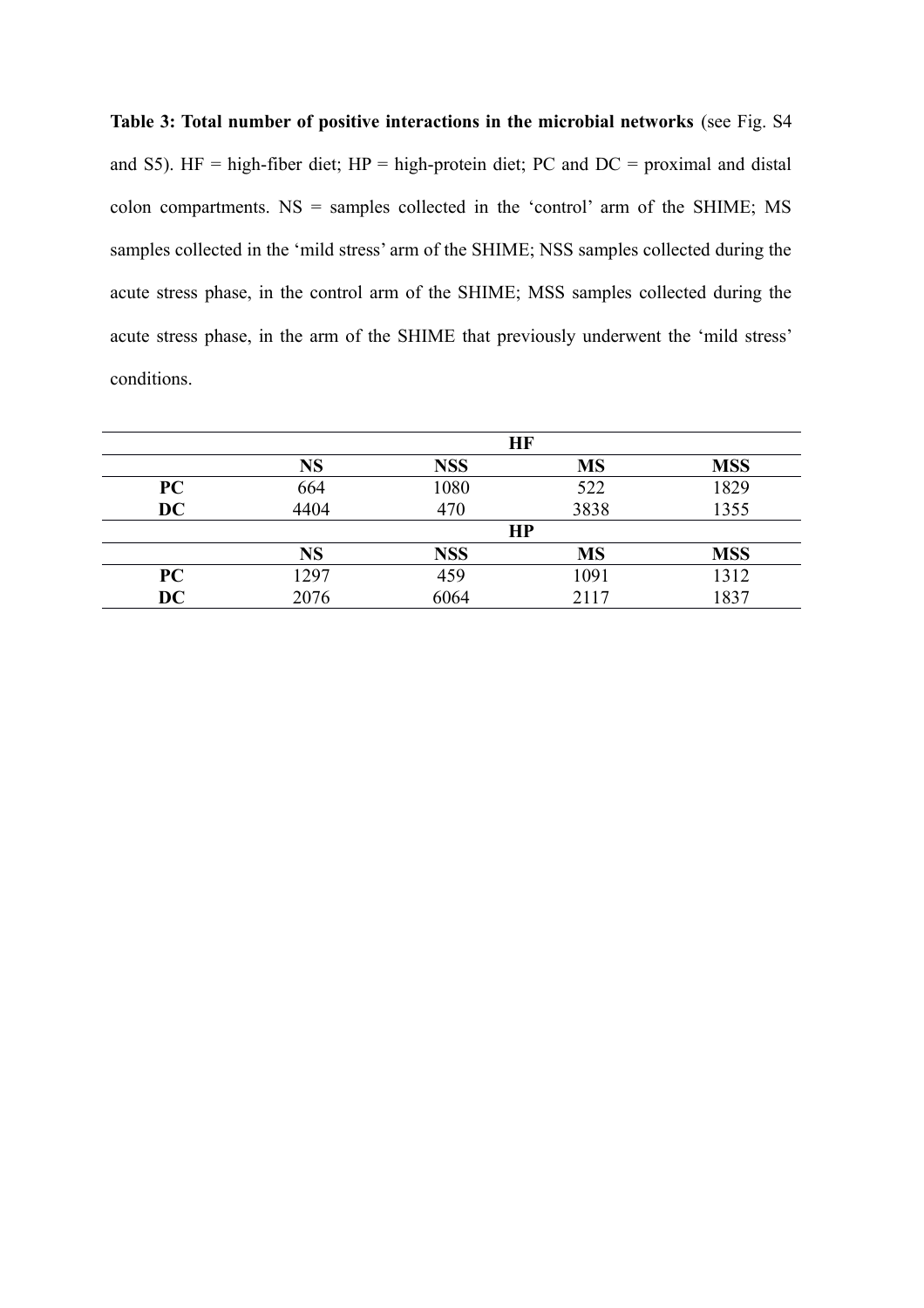# **Table 3: Total number of positive interactions in the microbial networks** (see Fig. S4 and S5). HF = high-fiber diet; HP = high-protein diet; PC and  $DC = proximal$  and distal colon compartments.  $NS =$  samples collected in the 'control' arm of the SHIME; MS samples collected in the 'mild stress' arm of the SHIME; NSS samples collected during the acute stress phase, in the control arm of the SHIME; MSS samples collected during the acute stress phase, in the arm of the SHIME that previously underwent the 'mild stress' conditions.

|           | HF        |            |           |            |  |  |  |  |
|-----------|-----------|------------|-----------|------------|--|--|--|--|
|           | <b>NS</b> | <b>NSS</b> | <b>MS</b> | <b>MSS</b> |  |  |  |  |
| PC        | 664       | 1080       | 522       | 1829       |  |  |  |  |
| <b>DC</b> | 4404      | 470        | 3838      | 1355       |  |  |  |  |
|           | HP        |            |           |            |  |  |  |  |
|           | <b>NS</b> | <b>NSS</b> | <b>MS</b> | <b>MSS</b> |  |  |  |  |
| PC        | 1297      | 459        | 1091      | 1312       |  |  |  |  |
| DC        | 2076      | 6064       | 2117      | 1837       |  |  |  |  |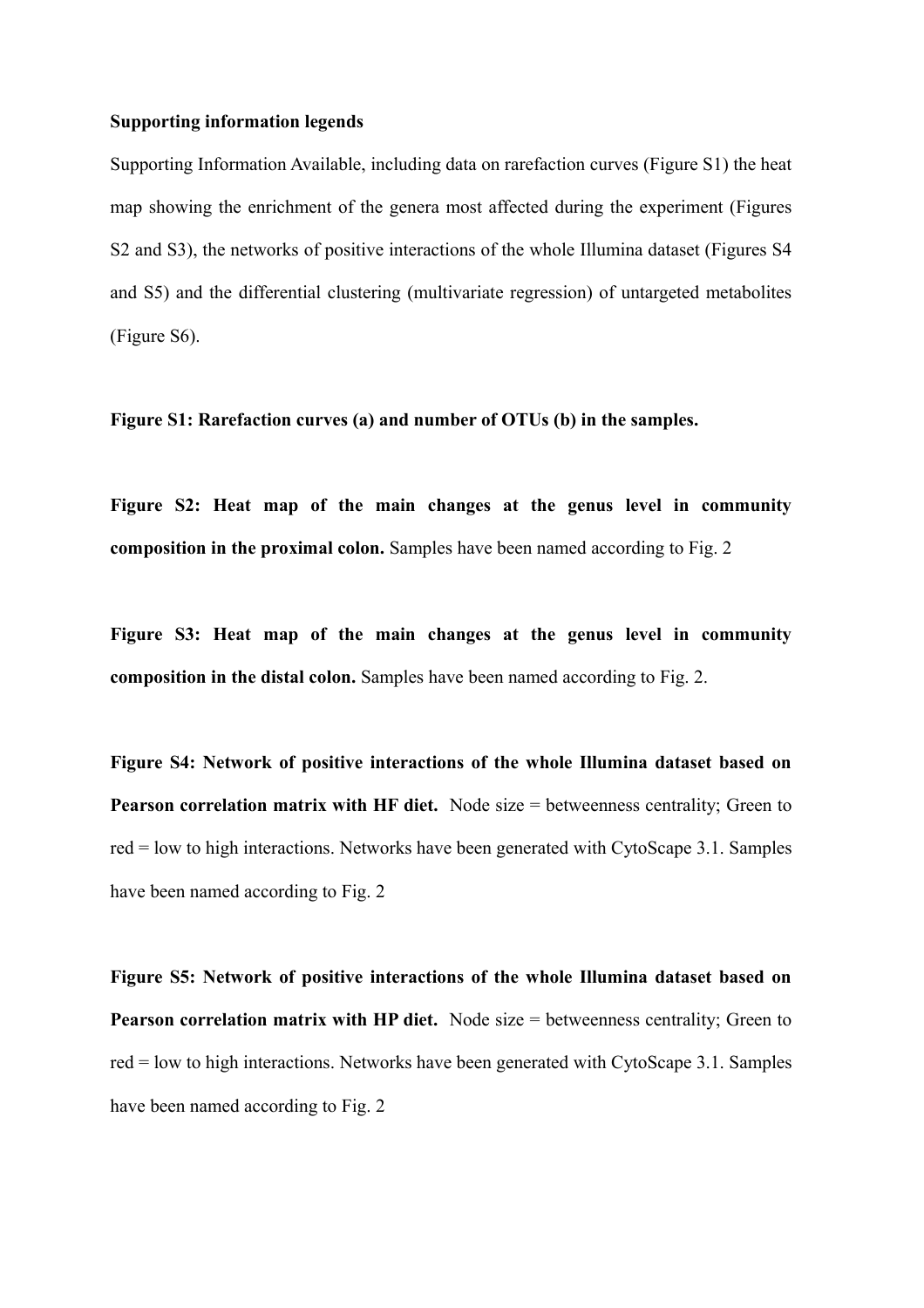#### **Supporting information legends**

Supporting Information Available, including data on rarefaction curves (Figure S1) the heat map showing the enrichment of the genera most affected during the experiment (Figures S2 and S3), the networks of positive interactions of the whole Illumina dataset (Figures S4 and S5) and the differential clustering (multivariate regression) of untargeted metabolites (Figure S6).

**Figure S1: Rarefaction curves (a) and number of OTUs (b) in the samples.**

**Figure S2: Heat map of the main changes at the genus level in community composition in the proximal colon.** Samples have been named according to Fig. 2

**Figure S3: Heat map of the main changes at the genus level in community composition in the distal colon.** Samples have been named according to Fig. 2.

**Figure S4: Network of positive interactions of the whole Illumina dataset based on Pearson correlation matrix with HF diet.** Node size = betweenness centrality; Green to red = low to high interactions. Networks have been generated with CytoScape 3.1. Samples have been named according to Fig. 2

**Figure S5: Network of positive interactions of the whole Illumina dataset based on Pearson correlation matrix with HP diet.** Node size = betweenness centrality; Green to red = low to high interactions. Networks have been generated with CytoScape 3.1. Samples have been named according to Fig. 2